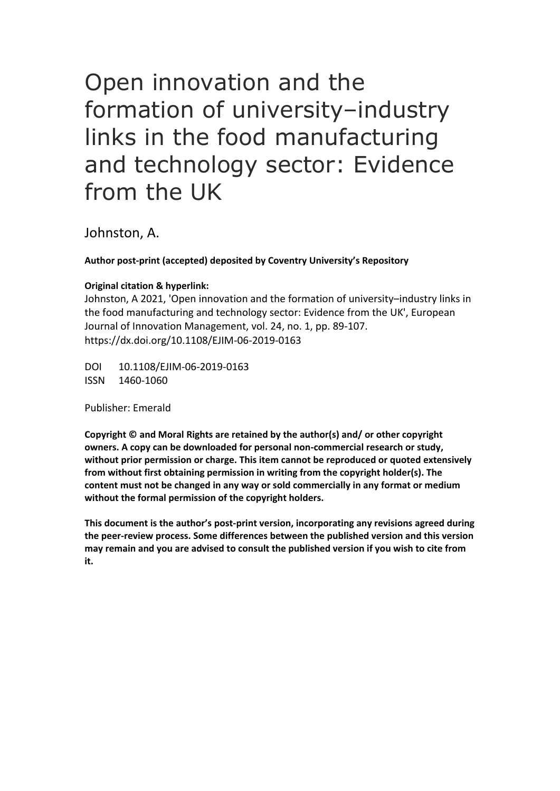# Open innovation and the formation of university–industry links in the food manufacturing and technology sector: Evidence from the UK

Johnston, A.

**Author post-print (accepted) deposited by Coventry University's Repository**

# **Original citation & hyperlink:**

Johnston, A 2021, 'Open innovation and the formation of university–industry links in the food manufacturing and technology sector: Evidence from the UK', European Journal of Innovation Management, vol. 24, no. 1, pp. 89-107. https://dx.doi.org/10.1108/EJIM-06-2019-0163

DOI 10.1108/EJIM-06-2019-0163 ISSN 1460-1060

Publisher: Emerald

**Copyright © and Moral Rights are retained by the author(s) and/ or other copyright owners. A copy can be downloaded for personal non-commercial research or study, without prior permission or charge. This item cannot be reproduced or quoted extensively from without first obtaining permission in writing from the copyright holder(s). The content must not be changed in any way or sold commercially in any format or medium without the formal permission of the copyright holders.** 

**This document is the author's post-print version, incorporating any revisions agreed during the peer-review process. Some differences between the published version and this version may remain and you are advised to consult the published version if you wish to cite from it.**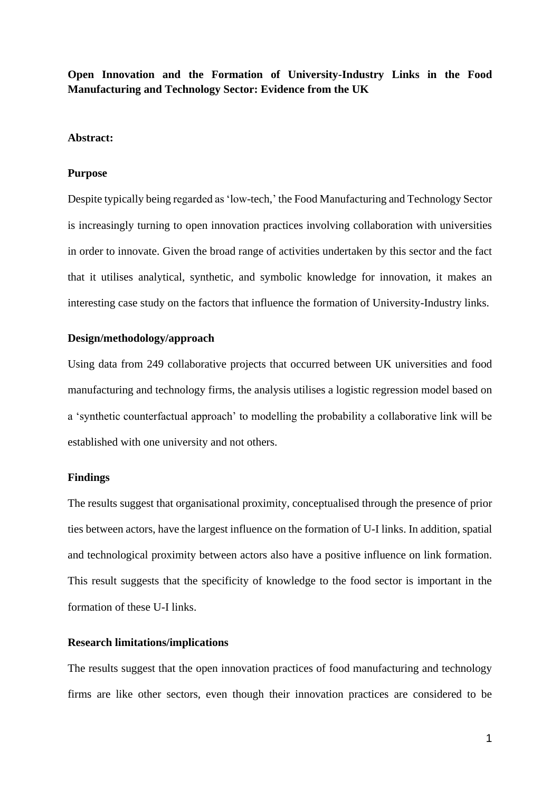**Open Innovation and the Formation of University-Industry Links in the Food Manufacturing and Technology Sector: Evidence from the UK**

# **Abstract:**

#### **Purpose**

Despite typically being regarded as 'low-tech,' the Food Manufacturing and Technology Sector is increasingly turning to open innovation practices involving collaboration with universities in order to innovate. Given the broad range of activities undertaken by this sector and the fact that it utilises analytical, synthetic, and symbolic knowledge for innovation, it makes an interesting case study on the factors that influence the formation of University-Industry links.

#### **Design/methodology/approach**

Using data from 249 collaborative projects that occurred between UK universities and food manufacturing and technology firms, the analysis utilises a logistic regression model based on a 'synthetic counterfactual approach' to modelling the probability a collaborative link will be established with one university and not others.

#### **Findings**

The results suggest that organisational proximity, conceptualised through the presence of prior ties between actors, have the largest influence on the formation of U-I links. In addition, spatial and technological proximity between actors also have a positive influence on link formation. This result suggests that the specificity of knowledge to the food sector is important in the formation of these U-I links.

# **Research limitations/implications**

The results suggest that the open innovation practices of food manufacturing and technology firms are like other sectors, even though their innovation practices are considered to be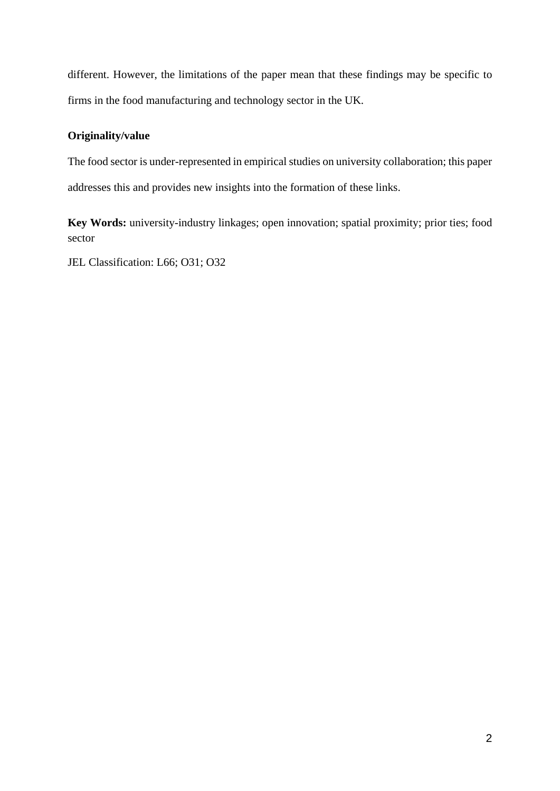different. However, the limitations of the paper mean that these findings may be specific to firms in the food manufacturing and technology sector in the UK.

# **Originality/value**

The food sector is under-represented in empirical studies on university collaboration; this paper addresses this and provides new insights into the formation of these links.

**Key Words:** university-industry linkages; open innovation; spatial proximity; prior ties; food sector

JEL Classification: L66; O31; O32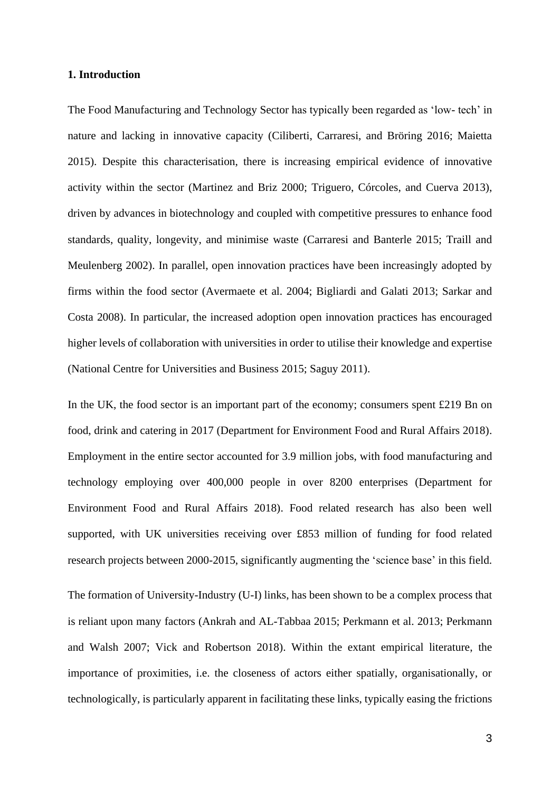# **1. Introduction**

The Food Manufacturing and Technology Sector has typically been regarded as 'low- tech' in nature and lacking in innovative capacity (Ciliberti, Carraresi, and Bröring 2016; Maietta 2015). Despite this characterisation, there is increasing empirical evidence of innovative activity within the sector (Martinez and Briz 2000; Triguero, Córcoles, and Cuerva 2013), driven by advances in biotechnology and coupled with competitive pressures to enhance food standards, quality, longevity, and minimise waste (Carraresi and Banterle 2015; Traill and Meulenberg 2002). In parallel, open innovation practices have been increasingly adopted by firms within the food sector (Avermaete et al. 2004; Bigliardi and Galati 2013; Sarkar and Costa 2008). In particular, the increased adoption open innovation practices has encouraged higher levels of collaboration with universities in order to utilise their knowledge and expertise (National Centre for Universities and Business 2015; Saguy 2011).

In the UK, the food sector is an important part of the economy; consumers spent £219 Bn on food, drink and catering in 2017 (Department for Environment Food and Rural Affairs 2018). Employment in the entire sector accounted for 3.9 million jobs, with food manufacturing and technology employing over 400,000 people in over 8200 enterprises (Department for Environment Food and Rural Affairs 2018). Food related research has also been well supported, with UK universities receiving over £853 million of funding for food related research projects between 2000-2015, significantly augmenting the 'science base' in this field.

The formation of University-Industry (U-I) links, has been shown to be a complex process that is reliant upon many factors (Ankrah and AL-Tabbaa 2015; Perkmann et al. 2013; Perkmann and Walsh 2007; Vick and Robertson 2018). Within the extant empirical literature, the importance of proximities, i.e. the closeness of actors either spatially, organisationally, or technologically, is particularly apparent in facilitating these links, typically easing the frictions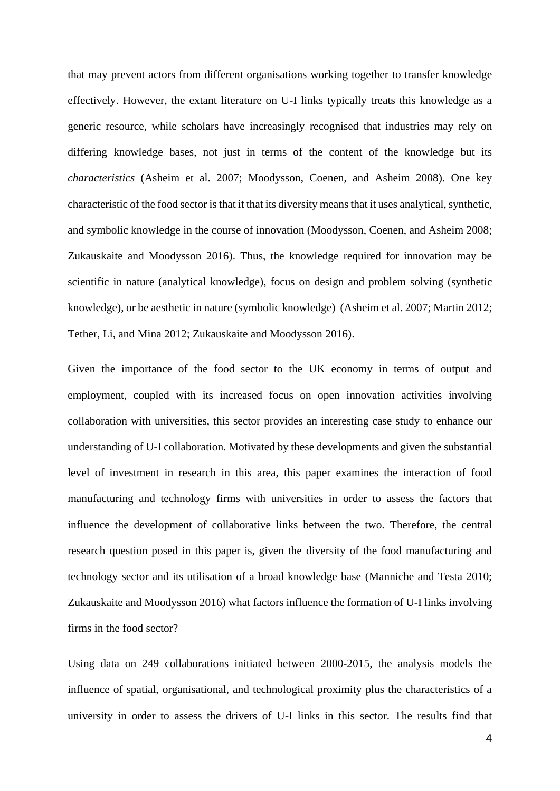that may prevent actors from different organisations working together to transfer knowledge effectively. However, the extant literature on U-I links typically treats this knowledge as a generic resource, while scholars have increasingly recognised that industries may rely on differing knowledge bases, not just in terms of the content of the knowledge but its *characteristics* (Asheim et al. 2007; Moodysson, Coenen, and Asheim 2008). One key characteristic of the food sector is that it that its diversity means that it uses analytical, synthetic, and symbolic knowledge in the course of innovation (Moodysson, Coenen, and Asheim 2008; Zukauskaite and Moodysson 2016). Thus, the knowledge required for innovation may be scientific in nature (analytical knowledge), focus on design and problem solving (synthetic knowledge), or be aesthetic in nature (symbolic knowledge) (Asheim et al. 2007; Martin 2012; Tether, Li, and Mina 2012; Zukauskaite and Moodysson 2016).

Given the importance of the food sector to the UK economy in terms of output and employment, coupled with its increased focus on open innovation activities involving collaboration with universities, this sector provides an interesting case study to enhance our understanding of U-I collaboration. Motivated by these developments and given the substantial level of investment in research in this area, this paper examines the interaction of food manufacturing and technology firms with universities in order to assess the factors that influence the development of collaborative links between the two. Therefore, the central research question posed in this paper is, given the diversity of the food manufacturing and technology sector and its utilisation of a broad knowledge base (Manniche and Testa 2010; Zukauskaite and Moodysson 2016) what factors influence the formation of U-I links involving firms in the food sector?

Using data on 249 collaborations initiated between 2000-2015, the analysis models the influence of spatial, organisational, and technological proximity plus the characteristics of a university in order to assess the drivers of U-I links in this sector. The results find that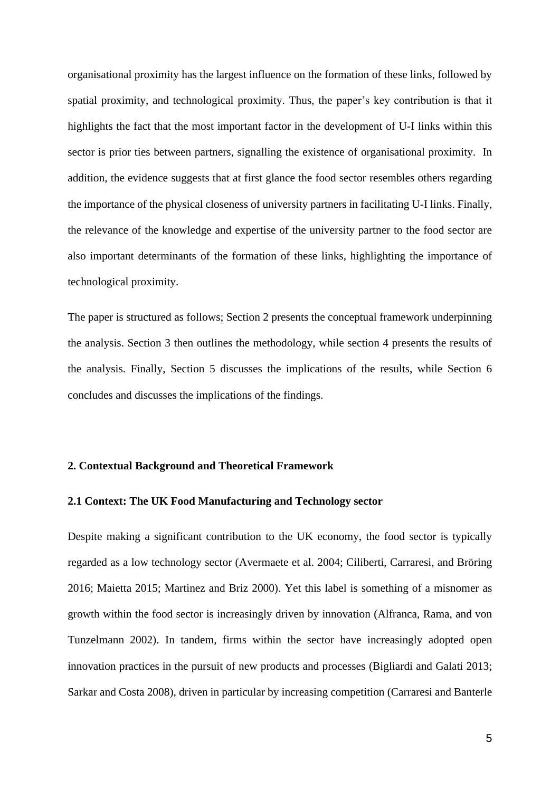organisational proximity has the largest influence on the formation of these links, followed by spatial proximity, and technological proximity. Thus, the paper's key contribution is that it highlights the fact that the most important factor in the development of U-I links within this sector is prior ties between partners, signalling the existence of organisational proximity. In addition, the evidence suggests that at first glance the food sector resembles others regarding the importance of the physical closeness of university partners in facilitating U-I links. Finally, the relevance of the knowledge and expertise of the university partner to the food sector are also important determinants of the formation of these links, highlighting the importance of technological proximity.

The paper is structured as follows; Section 2 presents the conceptual framework underpinning the analysis. Section 3 then outlines the methodology, while section 4 presents the results of the analysis. Finally, Section 5 discusses the implications of the results, while Section 6 concludes and discusses the implications of the findings.

# **2. Contextual Background and Theoretical Framework**

### **2.1 Context: The UK Food Manufacturing and Technology sector**

Despite making a significant contribution to the UK economy, the food sector is typically regarded as a low technology sector (Avermaete et al. 2004; Ciliberti, Carraresi, and Bröring 2016; Maietta 2015; Martinez and Briz 2000). Yet this label is something of a misnomer as growth within the food sector is increasingly driven by innovation (Alfranca, Rama, and von Tunzelmann 2002). In tandem, firms within the sector have increasingly adopted open innovation practices in the pursuit of new products and processes (Bigliardi and Galati 2013; Sarkar and Costa 2008), driven in particular by increasing competition (Carraresi and Banterle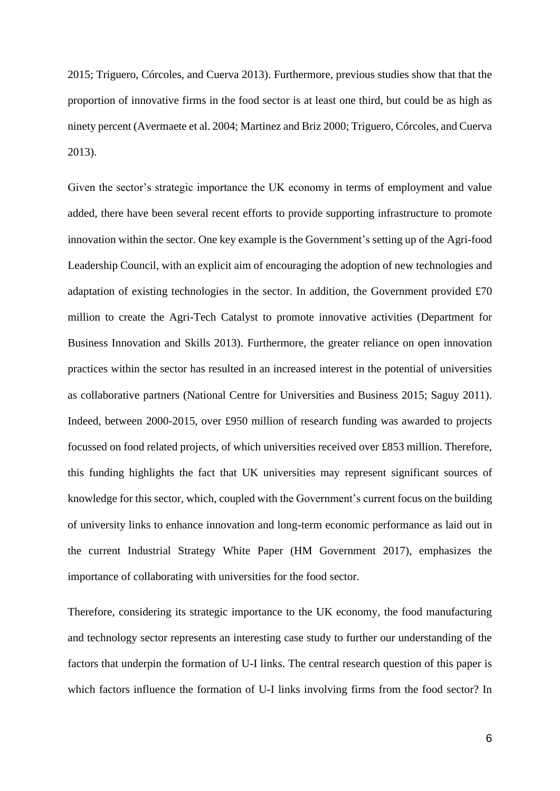2015; Triguero, Córcoles, and Cuerva 2013). Furthermore, previous studies show that that the proportion of innovative firms in the food sector is at least one third, but could be as high as ninety percent (Avermaete et al. 2004; Martinez and Briz 2000; Triguero, Córcoles, and Cuerva 2013).

Given the sector's strategic importance the UK economy in terms of employment and value added, there have been several recent efforts to provide supporting infrastructure to promote innovation within the sector. One key example is the Government's setting up of the Agri-food Leadership Council, with an explicit aim of encouraging the adoption of new technologies and adaptation of existing technologies in the sector. In addition, the Government provided £70 million to create the Agri-Tech Catalyst to promote innovative activities (Department for Business Innovation and Skills 2013). Furthermore, the greater reliance on open innovation practices within the sector has resulted in an increased interest in the potential of universities as collaborative partners (National Centre for Universities and Business 2015; Saguy 2011). Indeed, between 2000-2015, over £950 million of research funding was awarded to projects focussed on food related projects, of which universities received over £853 million. Therefore, this funding highlights the fact that UK universities may represent significant sources of knowledge for this sector, which, coupled with the Government's current focus on the building of university links to enhance innovation and long-term economic performance as laid out in the current Industrial Strategy White Paper (HM Government 2017), emphasizes the importance of collaborating with universities for the food sector.

Therefore, considering its strategic importance to the UK economy, the food manufacturing and technology sector represents an interesting case study to further our understanding of the factors that underpin the formation of U-I links. The central research question of this paper is which factors influence the formation of U-I links involving firms from the food sector? In

6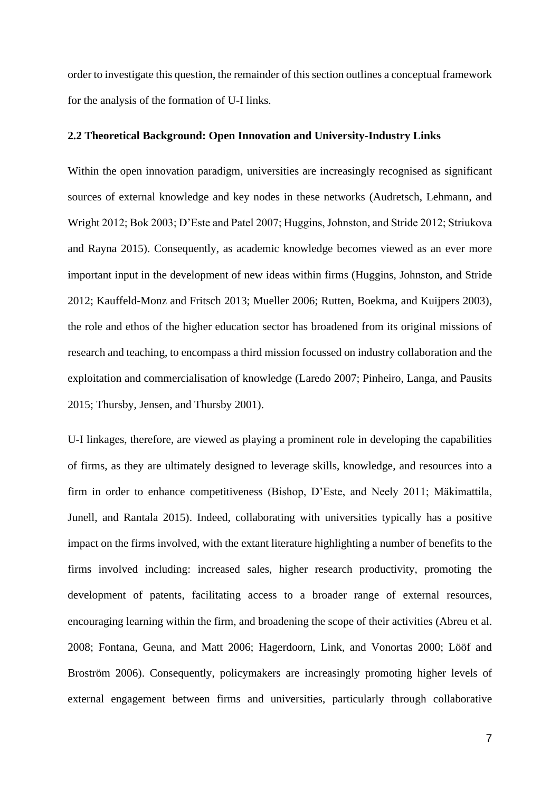order to investigate this question, the remainder of this section outlines a conceptual framework for the analysis of the formation of U-I links.

### **2.2 Theoretical Background: Open Innovation and University-Industry Links**

Within the open innovation paradigm, universities are increasingly recognised as significant sources of external knowledge and key nodes in these networks (Audretsch, Lehmann, and Wright 2012; Bok 2003; D'Este and Patel 2007; Huggins, Johnston, and Stride 2012; Striukova and Rayna 2015). Consequently, as academic knowledge becomes viewed as an ever more important input in the development of new ideas within firms (Huggins, Johnston, and Stride 2012; Kauffeld-Monz and Fritsch 2013; Mueller 2006; Rutten, Boekma, and Kuijpers 2003), the role and ethos of the higher education sector has broadened from its original missions of research and teaching, to encompass a third mission focussed on industry collaboration and the exploitation and commercialisation of knowledge (Laredo 2007; Pinheiro, Langa, and Pausits 2015; Thursby, Jensen, and Thursby 2001).

U-I linkages, therefore, are viewed as playing a prominent role in developing the capabilities of firms, as they are ultimately designed to leverage skills, knowledge, and resources into a firm in order to enhance competitiveness (Bishop, D'Este, and Neely 2011; Mäkimattila, Junell, and Rantala 2015). Indeed, collaborating with universities typically has a positive impact on the firms involved, with the extant literature highlighting a number of benefits to the firms involved including: increased sales, higher research productivity, promoting the development of patents, facilitating access to a broader range of external resources, encouraging learning within the firm, and broadening the scope of their activities (Abreu et al. 2008; Fontana, Geuna, and Matt 2006; Hagerdoorn, Link, and Vonortas 2000; Lööf and Broström 2006). Consequently, policymakers are increasingly promoting higher levels of external engagement between firms and universities, particularly through collaborative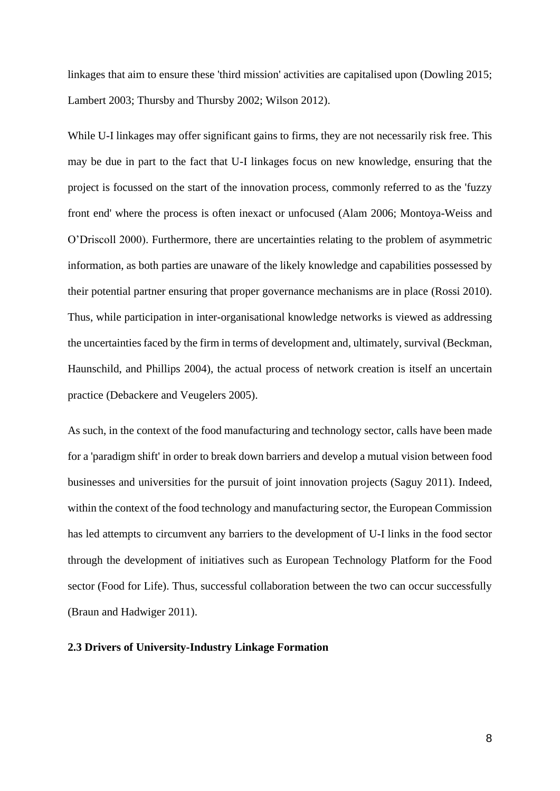linkages that aim to ensure these 'third mission' activities are capitalised upon (Dowling 2015; Lambert 2003; Thursby and Thursby 2002; Wilson 2012).

While U-I linkages may offer significant gains to firms, they are not necessarily risk free. This may be due in part to the fact that U-I linkages focus on new knowledge, ensuring that the project is focussed on the start of the innovation process, commonly referred to as the 'fuzzy front end' where the process is often inexact or unfocused (Alam 2006; Montoya-Weiss and O'Driscoll 2000). Furthermore, there are uncertainties relating to the problem of asymmetric information, as both parties are unaware of the likely knowledge and capabilities possessed by their potential partner ensuring that proper governance mechanisms are in place (Rossi 2010). Thus, while participation in inter-organisational knowledge networks is viewed as addressing the uncertainties faced by the firm in terms of development and, ultimately, survival (Beckman, Haunschild, and Phillips 2004), the actual process of network creation is itself an uncertain practice (Debackere and Veugelers 2005).

As such, in the context of the food manufacturing and technology sector, calls have been made for a 'paradigm shift' in order to break down barriers and develop a mutual vision between food businesses and universities for the pursuit of joint innovation projects (Saguy 2011). Indeed, within the context of the food technology and manufacturing sector, the European Commission has led attempts to circumvent any barriers to the development of U-I links in the food sector through the development of initiatives such as European Technology Platform for the Food sector (Food for Life). Thus, successful collaboration between the two can occur successfully (Braun and Hadwiger 2011).

# **2.3 Drivers of University-Industry Linkage Formation**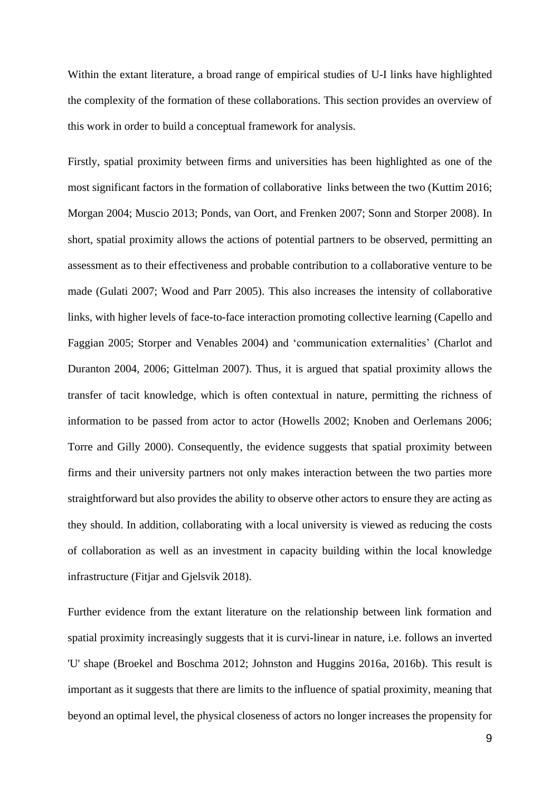Within the extant literature, a broad range of empirical studies of U-I links have highlighted the complexity of the formation of these collaborations. This section provides an overview of this work in order to build a conceptual framework for analysis.

Firstly, spatial proximity between firms and universities has been highlighted as one of the most significant factors in the formation of collaborative links between the two (Kuttim 2016; Morgan 2004; Muscio 2013; Ponds, van Oort, and Frenken 2007; Sonn and Storper 2008). In short, spatial proximity allows the actions of potential partners to be observed, permitting an assessment as to their effectiveness and probable contribution to a collaborative venture to be made (Gulati 2007; Wood and Parr 2005). This also increases the intensity of collaborative links, with higher levels of face-to-face interaction promoting collective learning (Capello and Faggian 2005; Storper and Venables 2004) and 'communication externalities' (Charlot and Duranton 2004, 2006; Gittelman 2007). Thus, it is argued that spatial proximity allows the transfer of tacit knowledge, which is often contextual in nature, permitting the richness of information to be passed from actor to actor (Howells 2002; Knoben and Oerlemans 2006; Torre and Gilly 2000). Consequently, the evidence suggests that spatial proximity between firms and their university partners not only makes interaction between the two parties more straightforward but also provides the ability to observe other actors to ensure they are acting as they should. In addition, collaborating with a local university is viewed as reducing the costs of collaboration as well as an investment in capacity building within the local knowledge infrastructure (Fitjar and Gjelsvik 2018).

Further evidence from the extant literature on the relationship between link formation and spatial proximity increasingly suggests that it is curvi-linear in nature, i.e. follows an inverted 'U' shape (Broekel and Boschma 2012; Johnston and Huggins 2016a, 2016b). This result is important as it suggests that there are limits to the influence of spatial proximity, meaning that beyond an optimal level, the physical closeness of actors no longer increases the propensity for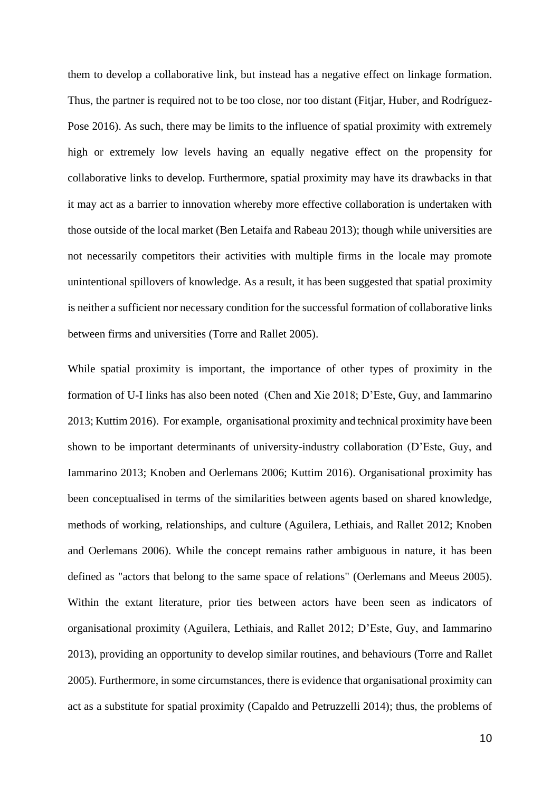them to develop a collaborative link, but instead has a negative effect on linkage formation. Thus, the partner is required not to be too close, nor too distant (Fitjar, Huber, and Rodríguez-Pose 2016). As such, there may be limits to the influence of spatial proximity with extremely high or extremely low levels having an equally negative effect on the propensity for collaborative links to develop. Furthermore, spatial proximity may have its drawbacks in that it may act as a barrier to innovation whereby more effective collaboration is undertaken with those outside of the local market (Ben Letaifa and Rabeau 2013); though while universities are not necessarily competitors their activities with multiple firms in the locale may promote unintentional spillovers of knowledge. As a result, it has been suggested that spatial proximity is neither a sufficient nor necessary condition for the successful formation of collaborative links between firms and universities (Torre and Rallet 2005).

While spatial proximity is important, the importance of other types of proximity in the formation of U-I links has also been noted (Chen and Xie 2018; D'Este, Guy, and Iammarino 2013; Kuttim 2016). For example, organisational proximity and technical proximity have been shown to be important determinants of university-industry collaboration (D'Este, Guy, and Iammarino 2013; Knoben and Oerlemans 2006; Kuttim 2016). Organisational proximity has been conceptualised in terms of the similarities between agents based on shared knowledge, methods of working, relationships, and culture (Aguilera, Lethiais, and Rallet 2012; Knoben and Oerlemans 2006). While the concept remains rather ambiguous in nature, it has been defined as "actors that belong to the same space of relations" (Oerlemans and Meeus 2005). Within the extant literature, prior ties between actors have been seen as indicators of organisational proximity (Aguilera, Lethiais, and Rallet 2012; D'Este, Guy, and Iammarino 2013), providing an opportunity to develop similar routines, and behaviours (Torre and Rallet 2005). Furthermore, in some circumstances, there is evidence that organisational proximity can act as a substitute for spatial proximity (Capaldo and Petruzzelli 2014); thus, the problems of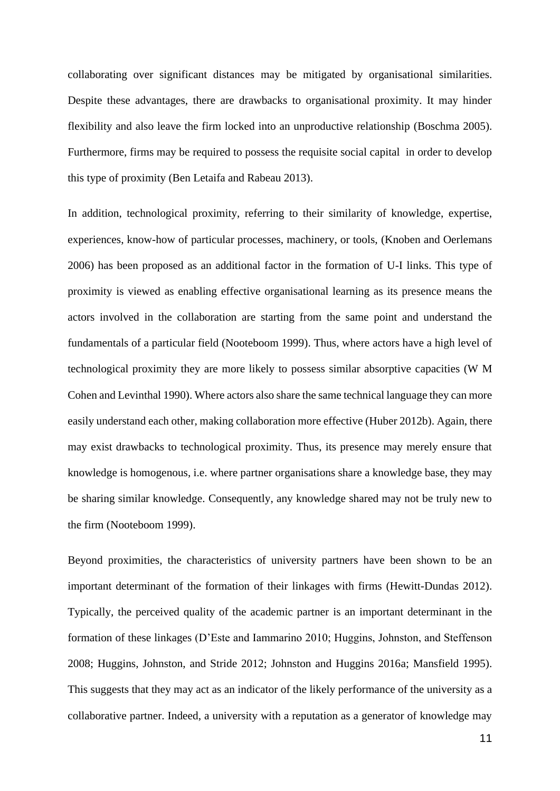collaborating over significant distances may be mitigated by organisational similarities. Despite these advantages, there are drawbacks to organisational proximity. It may hinder flexibility and also leave the firm locked into an unproductive relationship (Boschma 2005). Furthermore, firms may be required to possess the requisite social capital in order to develop this type of proximity (Ben Letaifa and Rabeau 2013).

In addition, technological proximity, referring to their similarity of knowledge, expertise, experiences, know-how of particular processes, machinery, or tools, (Knoben and Oerlemans 2006) has been proposed as an additional factor in the formation of U-I links. This type of proximity is viewed as enabling effective organisational learning as its presence means the actors involved in the collaboration are starting from the same point and understand the fundamentals of a particular field (Nooteboom 1999). Thus, where actors have a high level of technological proximity they are more likely to possess similar absorptive capacities (W M Cohen and Levinthal 1990). Where actors also share the same technical language they can more easily understand each other, making collaboration more effective (Huber 2012b). Again, there may exist drawbacks to technological proximity. Thus, its presence may merely ensure that knowledge is homogenous, i.e. where partner organisations share a knowledge base, they may be sharing similar knowledge. Consequently, any knowledge shared may not be truly new to the firm (Nooteboom 1999).

Beyond proximities, the characteristics of university partners have been shown to be an important determinant of the formation of their linkages with firms (Hewitt-Dundas 2012). Typically, the perceived quality of the academic partner is an important determinant in the formation of these linkages (D'Este and Iammarino 2010; Huggins, Johnston, and Steffenson 2008; Huggins, Johnston, and Stride 2012; Johnston and Huggins 2016a; Mansfield 1995). This suggests that they may act as an indicator of the likely performance of the university as a collaborative partner. Indeed, a university with a reputation as a generator of knowledge may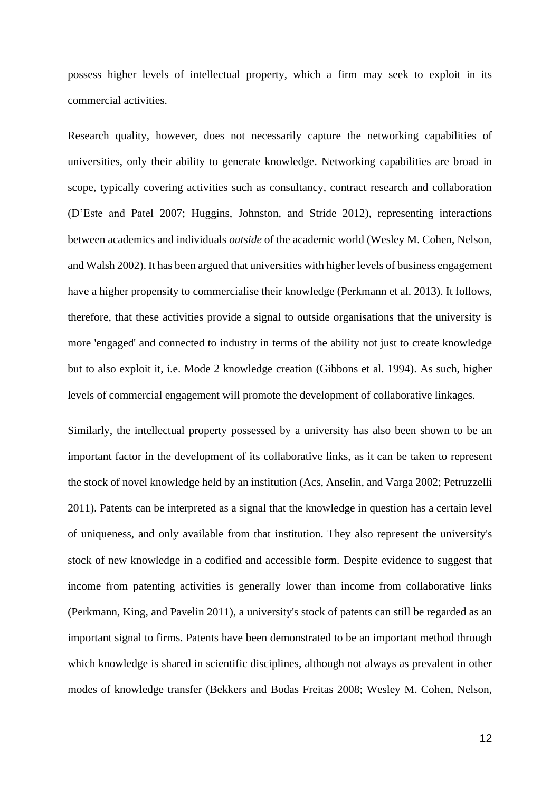possess higher levels of intellectual property, which a firm may seek to exploit in its commercial activities.

Research quality, however, does not necessarily capture the networking capabilities of universities, only their ability to generate knowledge. Networking capabilities are broad in scope, typically covering activities such as consultancy, contract research and collaboration (D'Este and Patel 2007; Huggins, Johnston, and Stride 2012), representing interactions between academics and individuals *outside* of the academic world (Wesley M. Cohen, Nelson, and Walsh 2002). It has been argued that universities with higher levels of business engagement have a higher propensity to commercialise their knowledge (Perkmann et al. 2013). It follows, therefore, that these activities provide a signal to outside organisations that the university is more 'engaged' and connected to industry in terms of the ability not just to create knowledge but to also exploit it, i.e. Mode 2 knowledge creation (Gibbons et al. 1994). As such, higher levels of commercial engagement will promote the development of collaborative linkages.

Similarly, the intellectual property possessed by a university has also been shown to be an important factor in the development of its collaborative links, as it can be taken to represent the stock of novel knowledge held by an institution (Acs, Anselin, and Varga 2002; Petruzzelli 2011). Patents can be interpreted as a signal that the knowledge in question has a certain level of uniqueness, and only available from that institution. They also represent the university's stock of new knowledge in a codified and accessible form. Despite evidence to suggest that income from patenting activities is generally lower than income from collaborative links (Perkmann, King, and Pavelin 2011), a university's stock of patents can still be regarded as an important signal to firms. Patents have been demonstrated to be an important method through which knowledge is shared in scientific disciplines, although not always as prevalent in other modes of knowledge transfer (Bekkers and Bodas Freitas 2008; Wesley M. Cohen, Nelson,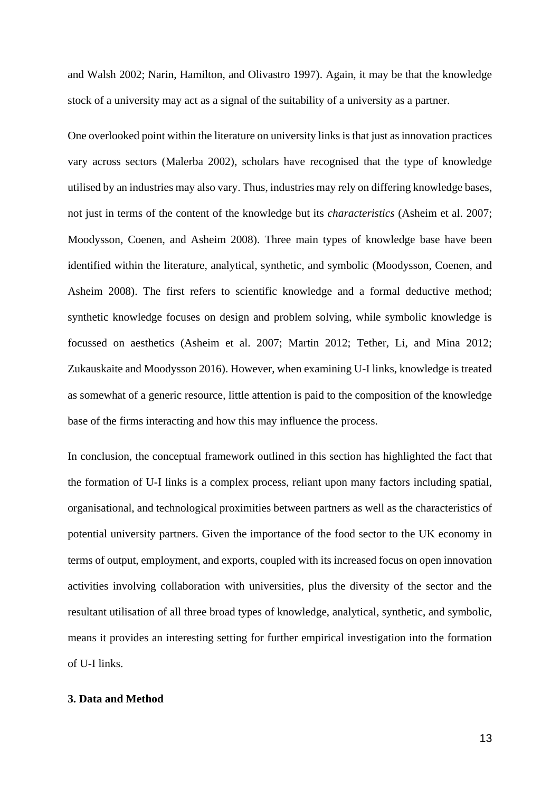and Walsh 2002; Narin, Hamilton, and Olivastro 1997). Again, it may be that the knowledge stock of a university may act as a signal of the suitability of a university as a partner.

One overlooked point within the literature on university links is that just as innovation practices vary across sectors (Malerba 2002), scholars have recognised that the type of knowledge utilised by an industries may also vary. Thus, industries may rely on differing knowledge bases, not just in terms of the content of the knowledge but its *characteristics* (Asheim et al. 2007; Moodysson, Coenen, and Asheim 2008). Three main types of knowledge base have been identified within the literature, analytical, synthetic, and symbolic (Moodysson, Coenen, and Asheim 2008). The first refers to scientific knowledge and a formal deductive method; synthetic knowledge focuses on design and problem solving, while symbolic knowledge is focussed on aesthetics (Asheim et al. 2007; Martin 2012; Tether, Li, and Mina 2012; Zukauskaite and Moodysson 2016). However, when examining U-I links, knowledge is treated as somewhat of a generic resource, little attention is paid to the composition of the knowledge base of the firms interacting and how this may influence the process.

In conclusion, the conceptual framework outlined in this section has highlighted the fact that the formation of U-I links is a complex process, reliant upon many factors including spatial, organisational, and technological proximities between partners as well as the characteristics of potential university partners. Given the importance of the food sector to the UK economy in terms of output, employment, and exports, coupled with its increased focus on open innovation activities involving collaboration with universities, plus the diversity of the sector and the resultant utilisation of all three broad types of knowledge, analytical, synthetic, and symbolic, means it provides an interesting setting for further empirical investigation into the formation of U-I links.

# **3. Data and Method**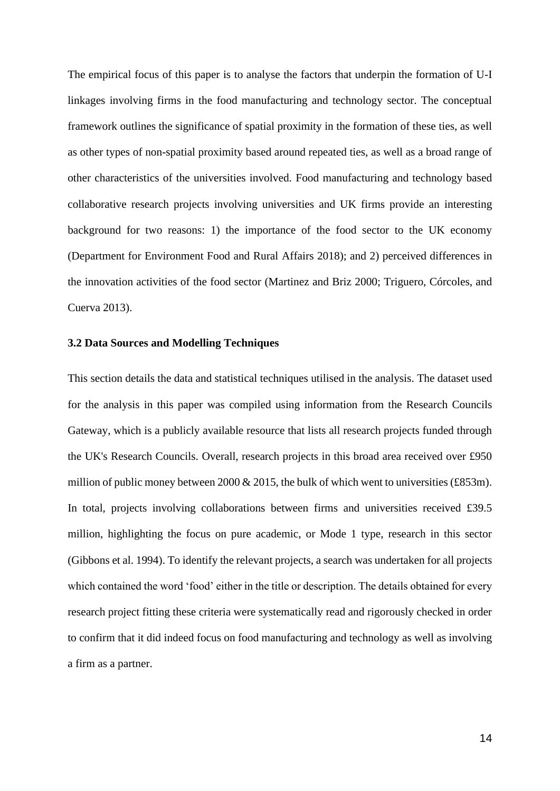The empirical focus of this paper is to analyse the factors that underpin the formation of U-I linkages involving firms in the food manufacturing and technology sector. The conceptual framework outlines the significance of spatial proximity in the formation of these ties, as well as other types of non-spatial proximity based around repeated ties, as well as a broad range of other characteristics of the universities involved. Food manufacturing and technology based collaborative research projects involving universities and UK firms provide an interesting background for two reasons: 1) the importance of the food sector to the UK economy (Department for Environment Food and Rural Affairs 2018); and 2) perceived differences in the innovation activities of the food sector (Martinez and Briz 2000; Triguero, Córcoles, and Cuerva 2013).

#### **3.2 Data Sources and Modelling Techniques**

This section details the data and statistical techniques utilised in the analysis. The dataset used for the analysis in this paper was compiled using information from the Research Councils Gateway, which is a publicly available resource that lists all research projects funded through the UK's Research Councils. Overall, research projects in this broad area received over £950 million of public money between 2000  $& 2015$ , the bulk of which went to universities (£853m). In total, projects involving collaborations between firms and universities received £39.5 million, highlighting the focus on pure academic, or Mode 1 type, research in this sector (Gibbons et al. 1994). To identify the relevant projects, a search was undertaken for all projects which contained the word 'food' either in the title or description. The details obtained for every research project fitting these criteria were systematically read and rigorously checked in order to confirm that it did indeed focus on food manufacturing and technology as well as involving a firm as a partner.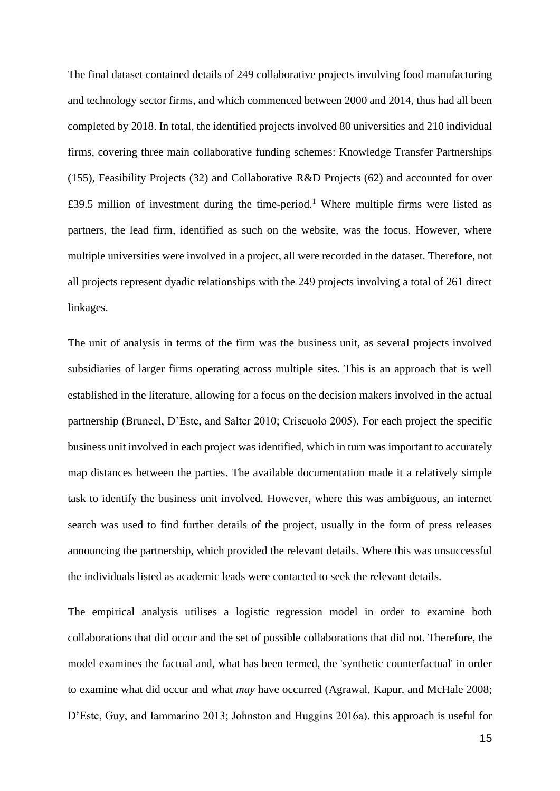The final dataset contained details of 249 collaborative projects involving food manufacturing and technology sector firms, and which commenced between 2000 and 2014, thus had all been completed by 2018. In total, the identified projects involved 80 universities and 210 individual firms, covering three main collaborative funding schemes: Knowledge Transfer Partnerships (155), Feasibility Projects (32) and Collaborative R&D Projects (62) and accounted for over £39.5 million of investment during the time-period.<sup>1</sup> Where multiple firms were listed as partners, the lead firm, identified as such on the website, was the focus. However, where multiple universities were involved in a project, all were recorded in the dataset. Therefore, not all projects represent dyadic relationships with the 249 projects involving a total of 261 direct linkages.

The unit of analysis in terms of the firm was the business unit, as several projects involved subsidiaries of larger firms operating across multiple sites. This is an approach that is well established in the literature, allowing for a focus on the decision makers involved in the actual partnership (Bruneel, D'Este, and Salter 2010; Criscuolo 2005). For each project the specific business unit involved in each project was identified, which in turn was important to accurately map distances between the parties. The available documentation made it a relatively simple task to identify the business unit involved. However, where this was ambiguous, an internet search was used to find further details of the project, usually in the form of press releases announcing the partnership, which provided the relevant details. Where this was unsuccessful the individuals listed as academic leads were contacted to seek the relevant details.

The empirical analysis utilises a logistic regression model in order to examine both collaborations that did occur and the set of possible collaborations that did not. Therefore, the model examines the factual and, what has been termed, the 'synthetic counterfactual' in order to examine what did occur and what *may* have occurred (Agrawal, Kapur, and McHale 2008; D'Este, Guy, and Iammarino 2013; Johnston and Huggins 2016a). this approach is useful for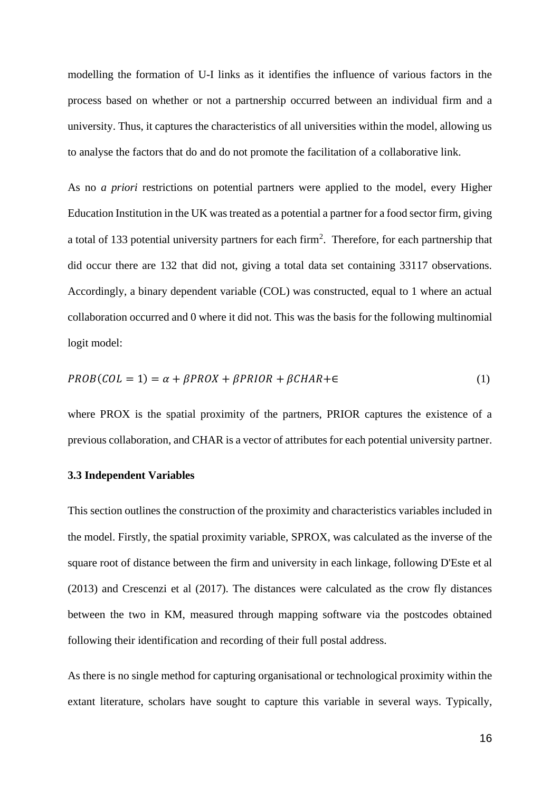modelling the formation of U-I links as it identifies the influence of various factors in the process based on whether or not a partnership occurred between an individual firm and a university. Thus, it captures the characteristics of all universities within the model, allowing us to analyse the factors that do and do not promote the facilitation of a collaborative link.

As no *a priori* restrictions on potential partners were applied to the model, every Higher Education Institution in the UK was treated as a potential a partner for a food sector firm, giving a total of 133 potential university partners for each firm<sup>2</sup>. Therefore, for each partnership that did occur there are 132 that did not, giving a total data set containing 33117 observations. Accordingly, a binary dependent variable (COL) was constructed, equal to 1 where an actual collaboration occurred and 0 where it did not. This was the basis for the following multinomial logit model:

$$
PROB(COL = 1) = \alpha + \beta PROX + \beta PRIOR + \beta CHAR + \epsilon
$$
\n<sup>(1)</sup>

where PROX is the spatial proximity of the partners, PRIOR captures the existence of a previous collaboration, and CHAR is a vector of attributes for each potential university partner.

#### **3.3 Independent Variables**

This section outlines the construction of the proximity and characteristics variables included in the model. Firstly, the spatial proximity variable, SPROX, was calculated as the inverse of the square root of distance between the firm and university in each linkage, following D'Este et al (2013) and Crescenzi et al (2017). The distances were calculated as the crow fly distances between the two in KM, measured through mapping software via the postcodes obtained following their identification and recording of their full postal address.

As there is no single method for capturing organisational or technological proximity within the extant literature, scholars have sought to capture this variable in several ways. Typically,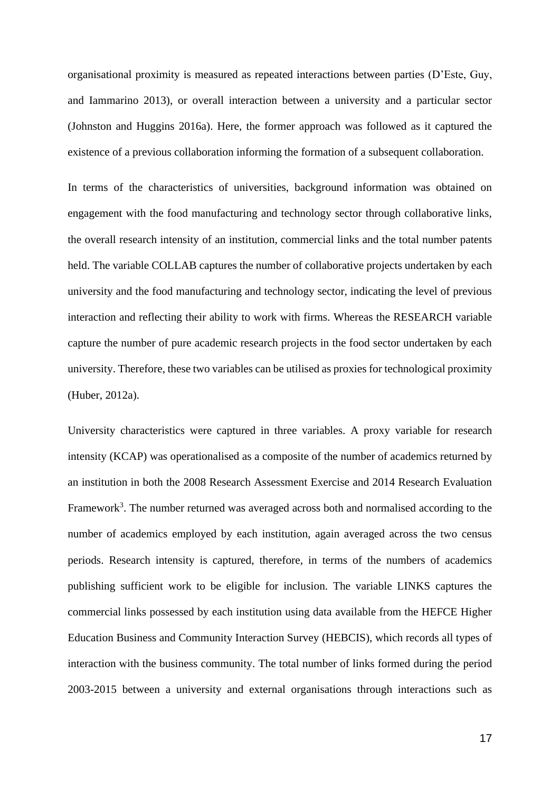organisational proximity is measured as repeated interactions between parties (D'Este, Guy, and Iammarino 2013), or overall interaction between a university and a particular sector (Johnston and Huggins 2016a). Here, the former approach was followed as it captured the existence of a previous collaboration informing the formation of a subsequent collaboration.

In terms of the characteristics of universities, background information was obtained on engagement with the food manufacturing and technology sector through collaborative links, the overall research intensity of an institution, commercial links and the total number patents held. The variable COLLAB captures the number of collaborative projects undertaken by each university and the food manufacturing and technology sector, indicating the level of previous interaction and reflecting their ability to work with firms. Whereas the RESEARCH variable capture the number of pure academic research projects in the food sector undertaken by each university. Therefore, these two variables can be utilised as proxies for technological proximity (Huber, 2012a).

University characteristics were captured in three variables. A proxy variable for research intensity (KCAP) was operationalised as a composite of the number of academics returned by an institution in both the 2008 Research Assessment Exercise and 2014 Research Evaluation Framework<sup>3</sup>. The number returned was averaged across both and normalised according to the number of academics employed by each institution, again averaged across the two census periods. Research intensity is captured, therefore, in terms of the numbers of academics publishing sufficient work to be eligible for inclusion. The variable LINKS captures the commercial links possessed by each institution using data available from the HEFCE Higher Education Business and Community Interaction Survey (HEBCIS), which records all types of interaction with the business community. The total number of links formed during the period 2003-2015 between a university and external organisations through interactions such as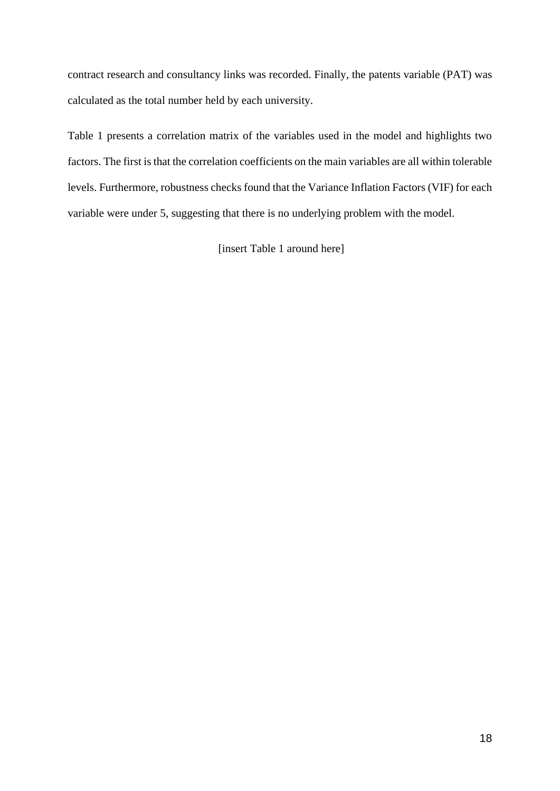contract research and consultancy links was recorded. Finally, the patents variable (PAT) was calculated as the total number held by each university.

Table 1 presents a correlation matrix of the variables used in the model and highlights two factors. The first is that the correlation coefficients on the main variables are all within tolerable levels. Furthermore, robustness checks found that the Variance Inflation Factors (VIF) for each variable were under 5, suggesting that there is no underlying problem with the model.

[insert Table 1 around here]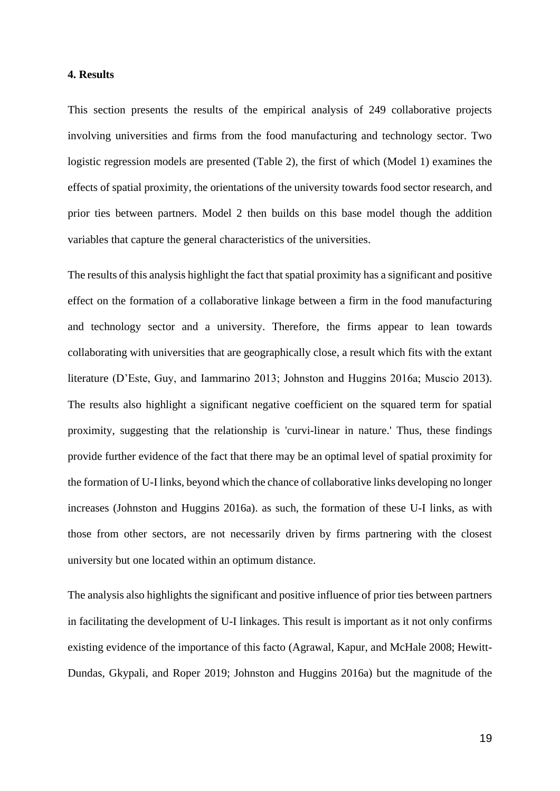# **4. Results**

This section presents the results of the empirical analysis of 249 collaborative projects involving universities and firms from the food manufacturing and technology sector. Two logistic regression models are presented (Table 2), the first of which (Model 1) examines the effects of spatial proximity, the orientations of the university towards food sector research, and prior ties between partners. Model 2 then builds on this base model though the addition variables that capture the general characteristics of the universities.

The results of this analysis highlight the fact that spatial proximity has a significant and positive effect on the formation of a collaborative linkage between a firm in the food manufacturing and technology sector and a university. Therefore, the firms appear to lean towards collaborating with universities that are geographically close, a result which fits with the extant literature (D'Este, Guy, and Iammarino 2013; Johnston and Huggins 2016a; Muscio 2013). The results also highlight a significant negative coefficient on the squared term for spatial proximity, suggesting that the relationship is 'curvi-linear in nature.' Thus, these findings provide further evidence of the fact that there may be an optimal level of spatial proximity for the formation of U-I links, beyond which the chance of collaborative links developing no longer increases (Johnston and Huggins 2016a). as such, the formation of these U-I links, as with those from other sectors, are not necessarily driven by firms partnering with the closest university but one located within an optimum distance.

The analysis also highlights the significant and positive influence of prior ties between partners in facilitating the development of U-I linkages. This result is important as it not only confirms existing evidence of the importance of this facto (Agrawal, Kapur, and McHale 2008; Hewitt-Dundas, Gkypali, and Roper 2019; Johnston and Huggins 2016a) but the magnitude of the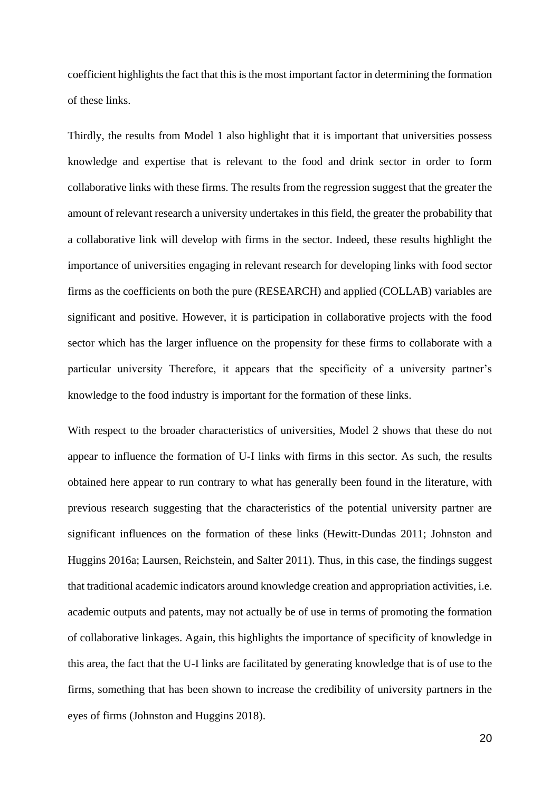coefficient highlights the fact that this is the most important factor in determining the formation of these links.

Thirdly, the results from Model 1 also highlight that it is important that universities possess knowledge and expertise that is relevant to the food and drink sector in order to form collaborative links with these firms. The results from the regression suggest that the greater the amount of relevant research a university undertakes in this field, the greater the probability that a collaborative link will develop with firms in the sector. Indeed, these results highlight the importance of universities engaging in relevant research for developing links with food sector firms as the coefficients on both the pure (RESEARCH) and applied (COLLAB) variables are significant and positive. However, it is participation in collaborative projects with the food sector which has the larger influence on the propensity for these firms to collaborate with a particular university Therefore, it appears that the specificity of a university partner's knowledge to the food industry is important for the formation of these links.

With respect to the broader characteristics of universities, Model 2 shows that these do not appear to influence the formation of U-I links with firms in this sector. As such, the results obtained here appear to run contrary to what has generally been found in the literature, with previous research suggesting that the characteristics of the potential university partner are significant influences on the formation of these links (Hewitt-Dundas 2011; Johnston and Huggins 2016a; Laursen, Reichstein, and Salter 2011). Thus, in this case, the findings suggest that traditional academic indicators around knowledge creation and appropriation activities, i.e. academic outputs and patents, may not actually be of use in terms of promoting the formation of collaborative linkages. Again, this highlights the importance of specificity of knowledge in this area, the fact that the U-I links are facilitated by generating knowledge that is of use to the firms, something that has been shown to increase the credibility of university partners in the eyes of firms (Johnston and Huggins 2018).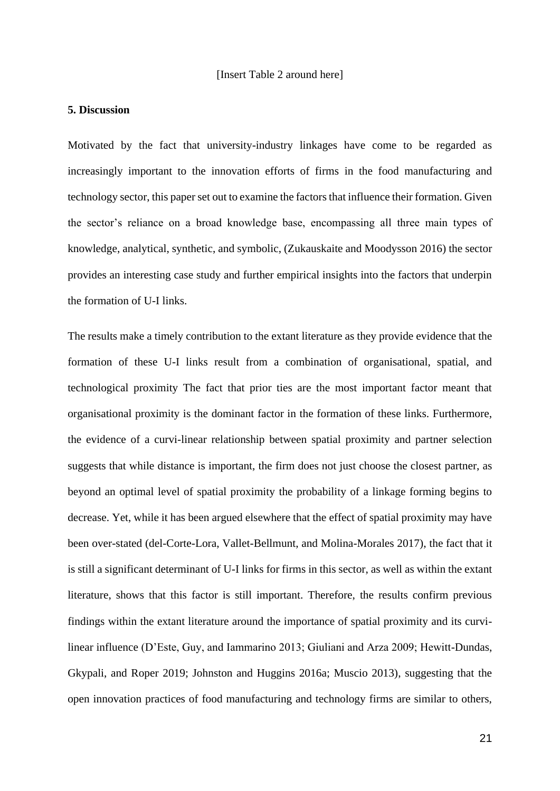#### [Insert Table 2 around here]

# **5. Discussion**

Motivated by the fact that university-industry linkages have come to be regarded as increasingly important to the innovation efforts of firms in the food manufacturing and technology sector, this paper set out to examine the factors that influence their formation. Given the sector's reliance on a broad knowledge base, encompassing all three main types of knowledge, analytical, synthetic, and symbolic, (Zukauskaite and Moodysson 2016) the sector provides an interesting case study and further empirical insights into the factors that underpin the formation of U-I links.

The results make a timely contribution to the extant literature as they provide evidence that the formation of these U-I links result from a combination of organisational, spatial, and technological proximity The fact that prior ties are the most important factor meant that organisational proximity is the dominant factor in the formation of these links. Furthermore, the evidence of a curvi-linear relationship between spatial proximity and partner selection suggests that while distance is important, the firm does not just choose the closest partner, as beyond an optimal level of spatial proximity the probability of a linkage forming begins to decrease. Yet, while it has been argued elsewhere that the effect of spatial proximity may have been over-stated (del-Corte-Lora, Vallet-Bellmunt, and Molina-Morales 2017), the fact that it is still a significant determinant of U-I links for firms in this sector, as well as within the extant literature, shows that this factor is still important. Therefore, the results confirm previous findings within the extant literature around the importance of spatial proximity and its curvilinear influence (D'Este, Guy, and Iammarino 2013; Giuliani and Arza 2009; Hewitt-Dundas, Gkypali, and Roper 2019; Johnston and Huggins 2016a; Muscio 2013), suggesting that the open innovation practices of food manufacturing and technology firms are similar to others,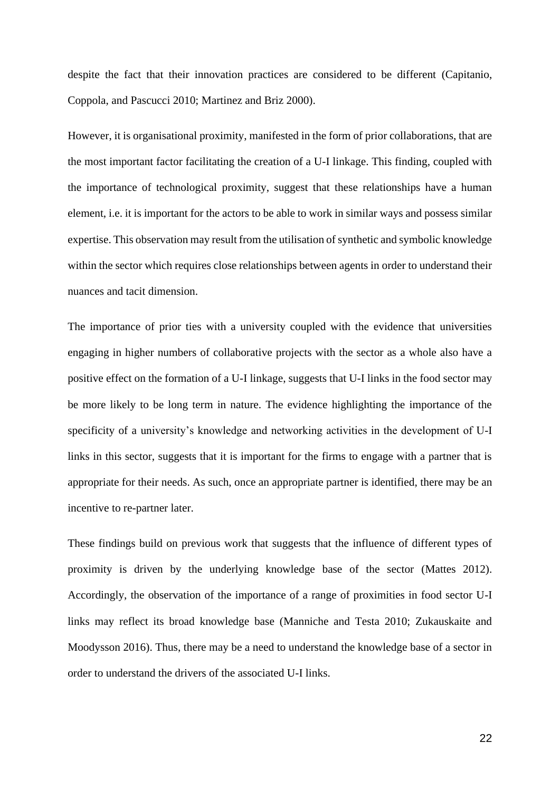despite the fact that their innovation practices are considered to be different (Capitanio, Coppola, and Pascucci 2010; Martinez and Briz 2000).

However, it is organisational proximity, manifested in the form of prior collaborations, that are the most important factor facilitating the creation of a U-I linkage. This finding, coupled with the importance of technological proximity, suggest that these relationships have a human element, i.e. it is important for the actors to be able to work in similar ways and possess similar expertise. This observation may result from the utilisation of synthetic and symbolic knowledge within the sector which requires close relationships between agents in order to understand their nuances and tacit dimension.

The importance of prior ties with a university coupled with the evidence that universities engaging in higher numbers of collaborative projects with the sector as a whole also have a positive effect on the formation of a U-I linkage, suggests that U-I links in the food sector may be more likely to be long term in nature. The evidence highlighting the importance of the specificity of a university's knowledge and networking activities in the development of U-I links in this sector, suggests that it is important for the firms to engage with a partner that is appropriate for their needs. As such, once an appropriate partner is identified, there may be an incentive to re-partner later.

These findings build on previous work that suggests that the influence of different types of proximity is driven by the underlying knowledge base of the sector (Mattes 2012). Accordingly, the observation of the importance of a range of proximities in food sector U-I links may reflect its broad knowledge base (Manniche and Testa 2010; Zukauskaite and Moodysson 2016). Thus, there may be a need to understand the knowledge base of a sector in order to understand the drivers of the associated U-I links.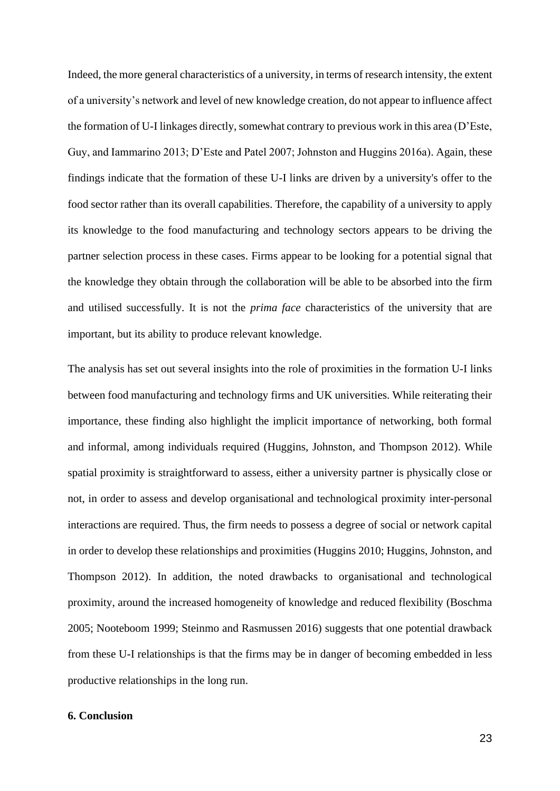Indeed, the more general characteristics of a university, in terms of research intensity, the extent of a university's network and level of new knowledge creation, do not appear to influence affect the formation of U-I linkages directly, somewhat contrary to previous work in this area (D'Este, Guy, and Iammarino 2013; D'Este and Patel 2007; Johnston and Huggins 2016a). Again, these findings indicate that the formation of these U-I links are driven by a university's offer to the food sector rather than its overall capabilities. Therefore, the capability of a university to apply its knowledge to the food manufacturing and technology sectors appears to be driving the partner selection process in these cases. Firms appear to be looking for a potential signal that the knowledge they obtain through the collaboration will be able to be absorbed into the firm and utilised successfully. It is not the *prima face* characteristics of the university that are important*,* but its ability to produce relevant knowledge.

The analysis has set out several insights into the role of proximities in the formation U-I links between food manufacturing and technology firms and UK universities. While reiterating their importance, these finding also highlight the implicit importance of networking, both formal and informal, among individuals required (Huggins, Johnston, and Thompson 2012). While spatial proximity is straightforward to assess, either a university partner is physically close or not, in order to assess and develop organisational and technological proximity inter-personal interactions are required. Thus, the firm needs to possess a degree of social or network capital in order to develop these relationships and proximities (Huggins 2010; Huggins, Johnston, and Thompson 2012). In addition, the noted drawbacks to organisational and technological proximity, around the increased homogeneity of knowledge and reduced flexibility (Boschma 2005; Nooteboom 1999; Steinmo and Rasmussen 2016) suggests that one potential drawback from these U-I relationships is that the firms may be in danger of becoming embedded in less productive relationships in the long run.

# **6. Conclusion**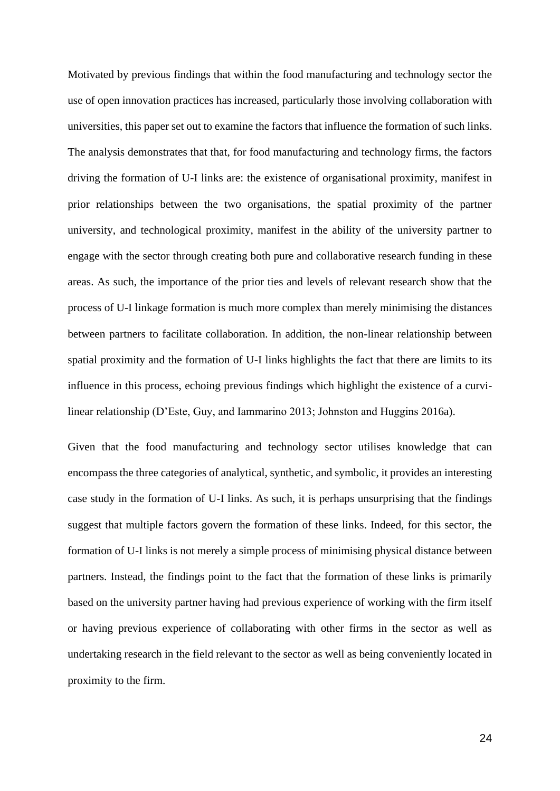Motivated by previous findings that within the food manufacturing and technology sector the use of open innovation practices has increased, particularly those involving collaboration with universities, this paper set out to examine the factors that influence the formation of such links. The analysis demonstrates that that, for food manufacturing and technology firms, the factors driving the formation of U-I links are: the existence of organisational proximity, manifest in prior relationships between the two organisations, the spatial proximity of the partner university, and technological proximity, manifest in the ability of the university partner to engage with the sector through creating both pure and collaborative research funding in these areas. As such, the importance of the prior ties and levels of relevant research show that the process of U-I linkage formation is much more complex than merely minimising the distances between partners to facilitate collaboration. In addition, the non-linear relationship between spatial proximity and the formation of U-I links highlights the fact that there are limits to its influence in this process, echoing previous findings which highlight the existence of a curvilinear relationship (D'Este, Guy, and Iammarino 2013; Johnston and Huggins 2016a).

Given that the food manufacturing and technology sector utilises knowledge that can encompass the three categories of analytical, synthetic, and symbolic, it provides an interesting case study in the formation of U-I links. As such, it is perhaps unsurprising that the findings suggest that multiple factors govern the formation of these links. Indeed, for this sector, the formation of U-I links is not merely a simple process of minimising physical distance between partners. Instead, the findings point to the fact that the formation of these links is primarily based on the university partner having had previous experience of working with the firm itself or having previous experience of collaborating with other firms in the sector as well as undertaking research in the field relevant to the sector as well as being conveniently located in proximity to the firm.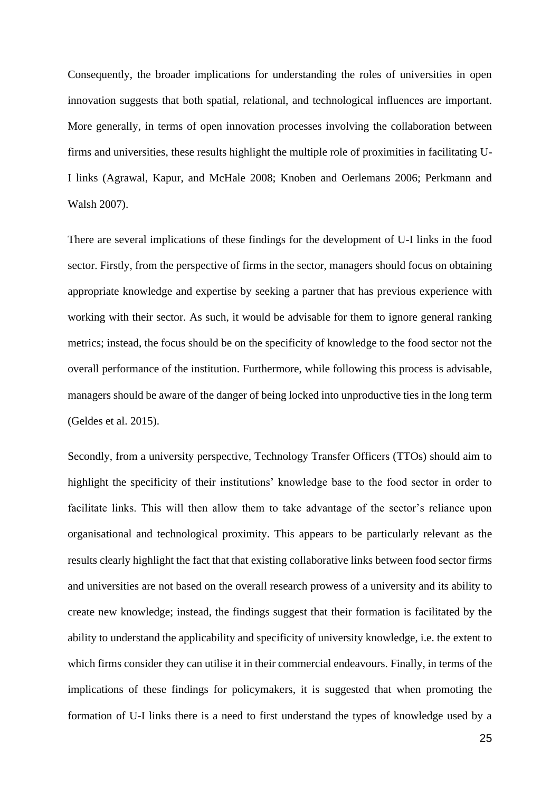Consequently, the broader implications for understanding the roles of universities in open innovation suggests that both spatial, relational, and technological influences are important. More generally, in terms of open innovation processes involving the collaboration between firms and universities, these results highlight the multiple role of proximities in facilitating U-I links (Agrawal, Kapur, and McHale 2008; Knoben and Oerlemans 2006; Perkmann and Walsh 2007).

There are several implications of these findings for the development of U-I links in the food sector. Firstly, from the perspective of firms in the sector, managers should focus on obtaining appropriate knowledge and expertise by seeking a partner that has previous experience with working with their sector. As such, it would be advisable for them to ignore general ranking metrics; instead, the focus should be on the specificity of knowledge to the food sector not the overall performance of the institution. Furthermore, while following this process is advisable, managers should be aware of the danger of being locked into unproductive ties in the long term (Geldes et al. 2015).

Secondly, from a university perspective, Technology Transfer Officers (TTOs) should aim to highlight the specificity of their institutions' knowledge base to the food sector in order to facilitate links. This will then allow them to take advantage of the sector's reliance upon organisational and technological proximity. This appears to be particularly relevant as the results clearly highlight the fact that that existing collaborative links between food sector firms and universities are not based on the overall research prowess of a university and its ability to create new knowledge; instead, the findings suggest that their formation is facilitated by the ability to understand the applicability and specificity of university knowledge, i.e. the extent to which firms consider they can utilise it in their commercial endeavours. Finally, in terms of the implications of these findings for policymakers, it is suggested that when promoting the formation of U-I links there is a need to first understand the types of knowledge used by a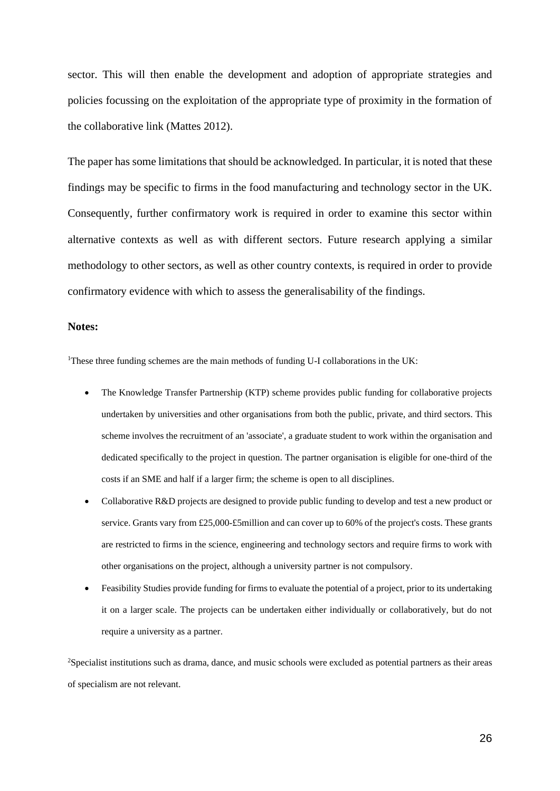sector. This will then enable the development and adoption of appropriate strategies and policies focussing on the exploitation of the appropriate type of proximity in the formation of the collaborative link (Mattes 2012).

The paper has some limitations that should be acknowledged. In particular, it is noted that these findings may be specific to firms in the food manufacturing and technology sector in the UK. Consequently, further confirmatory work is required in order to examine this sector within alternative contexts as well as with different sectors. Future research applying a similar methodology to other sectors, as well as other country contexts, is required in order to provide confirmatory evidence with which to assess the generalisability of the findings.

# **Notes:**

<sup>1</sup>These three funding schemes are the main methods of funding U-I collaborations in the UK:

- The Knowledge Transfer Partnership (KTP) scheme provides public funding for collaborative projects undertaken by universities and other organisations from both the public, private, and third sectors. This scheme involves the recruitment of an 'associate', a graduate student to work within the organisation and dedicated specifically to the project in question. The partner organisation is eligible for one-third of the costs if an SME and half if a larger firm; the scheme is open to all disciplines.
- Collaborative R&D projects are designed to provide public funding to develop and test a new product or service. Grants vary from £25,000-£5million and can cover up to 60% of the project's costs. These grants are restricted to firms in the science, engineering and technology sectors and require firms to work with other organisations on the project, although a university partner is not compulsory.
- Feasibility Studies provide funding for firms to evaluate the potential of a project, prior to its undertaking it on a larger scale. The projects can be undertaken either individually or collaboratively, but do not require a university as a partner.

<sup>2</sup>Specialist institutions such as drama, dance, and music schools were excluded as potential partners as their areas of specialism are not relevant.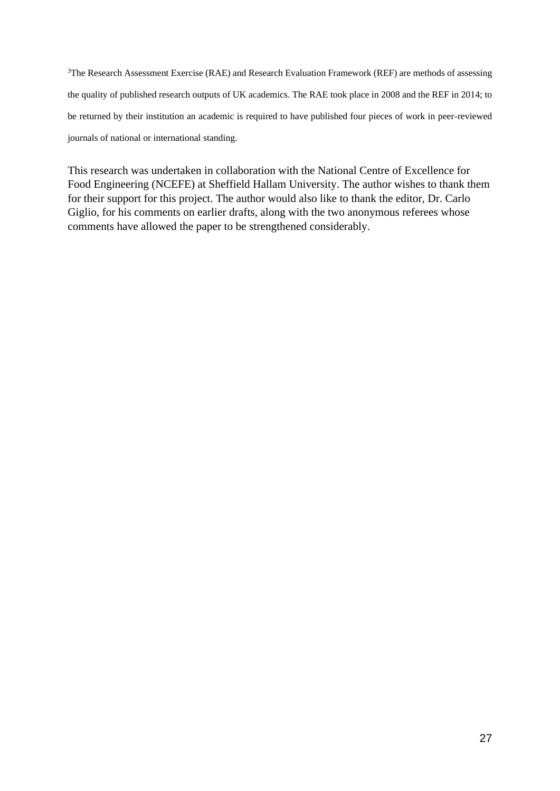<sup>3</sup>The Research Assessment Exercise (RAE) and Research Evaluation Framework (REF) are methods of assessing the quality of published research outputs of UK academics. The RAE took place in 2008 and the REF in 2014; to be returned by their institution an academic is required to have published four pieces of work in peer-reviewed journals of national or international standing.

This research was undertaken in collaboration with the National Centre of Excellence for Food Engineering (NCEFE) at Sheffield Hallam University. The author wishes to thank them for their support for this project. The author would also like to thank the editor, Dr. Carlo Giglio, for his comments on earlier drafts, along with the two anonymous referees whose comments have allowed the paper to be strengthened considerably.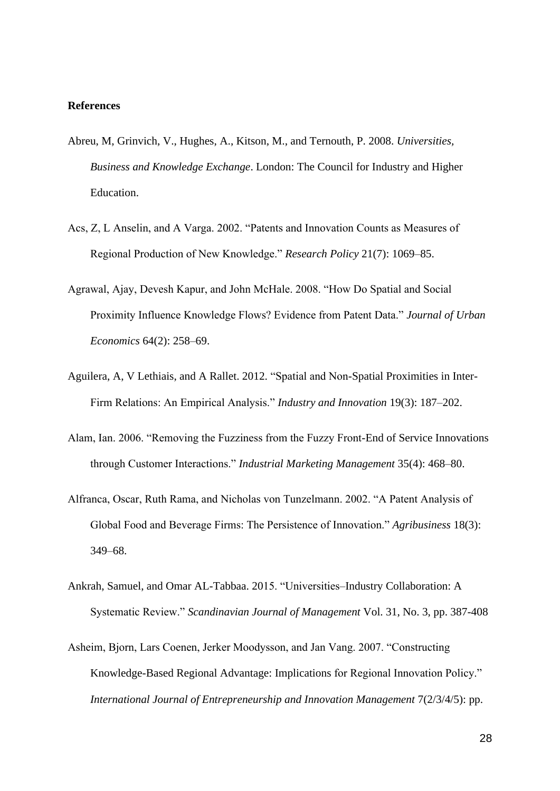#### **References**

- Abreu, M, Grinvich, V., Hughes, A., Kitson, M., and Ternouth, P. 2008. *Universities, Business and Knowledge Exchange*. London: The Council for Industry and Higher Education.
- Acs, Z, L Anselin, and A Varga. 2002. "Patents and Innovation Counts as Measures of Regional Production of New Knowledge." *Research Policy* 21(7): 1069–85.
- Agrawal, Ajay, Devesh Kapur, and John McHale. 2008. "How Do Spatial and Social Proximity Influence Knowledge Flows? Evidence from Patent Data." *Journal of Urban Economics* 64(2): 258–69.
- Aguilera, A, V Lethiais, and A Rallet. 2012. "Spatial and Non-Spatial Proximities in Inter-Firm Relations: An Empirical Analysis." *Industry and Innovation* 19(3): 187–202.
- Alam, Ian. 2006. "Removing the Fuzziness from the Fuzzy Front-End of Service Innovations through Customer Interactions." *Industrial Marketing Management* 35(4): 468–80.
- Alfranca, Oscar, Ruth Rama, and Nicholas von Tunzelmann. 2002. "A Patent Analysis of Global Food and Beverage Firms: The Persistence of Innovation." *Agribusiness* 18(3): 349–68.
- Ankrah, Samuel, and Omar AL-Tabbaa. 2015. "Universities–Industry Collaboration: A Systematic Review." *Scandinavian Journal of Management* Vol. 31, No. 3, pp. 387-408
- Asheim, Bjorn, Lars Coenen, Jerker Moodysson, and Jan Vang. 2007. "Constructing Knowledge-Based Regional Advantage: Implications for Regional Innovation Policy." *International Journal of Entrepreneurship and Innovation Management* 7(2/3/4/5): pp.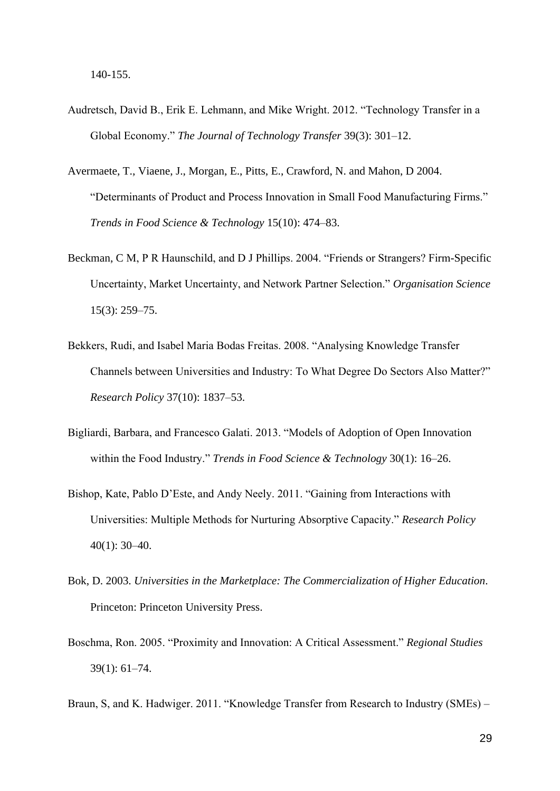- Audretsch, David B., Erik E. Lehmann, and Mike Wright. 2012. "Technology Transfer in a Global Economy." *The Journal of Technology Transfer* 39(3): 301–12.
- Avermaete, T., Viaene, J., Morgan, E., Pitts, E., Crawford, N. and Mahon, D 2004. "Determinants of Product and Process Innovation in Small Food Manufacturing Firms." *Trends in Food Science & Technology* 15(10): 474–83.
- Beckman, C M, P R Haunschild, and D J Phillips. 2004. "Friends or Strangers? Firm-Specific Uncertainty, Market Uncertainty, and Network Partner Selection." *Organisation Science* 15(3): 259–75.
- Bekkers, Rudi, and Isabel Maria Bodas Freitas. 2008. "Analysing Knowledge Transfer Channels between Universities and Industry: To What Degree Do Sectors Also Matter?" *Research Policy* 37(10): 1837–53.
- Bigliardi, Barbara, and Francesco Galati. 2013. "Models of Adoption of Open Innovation within the Food Industry." *Trends in Food Science & Technology* 30(1): 16–26.
- Bishop, Kate, Pablo D'Este, and Andy Neely. 2011. "Gaining from Interactions with Universities: Multiple Methods for Nurturing Absorptive Capacity." *Research Policy* 40(1): 30–40.
- Bok, D. 2003. *Universities in the Marketplace: The Commercialization of Higher Education*. Princeton: Princeton University Press.
- Boschma, Ron. 2005. "Proximity and Innovation: A Critical Assessment." *Regional Studies* 39(1): 61–74.
- Braun, S, and K. Hadwiger. 2011. "Knowledge Transfer from Research to Industry (SMEs) –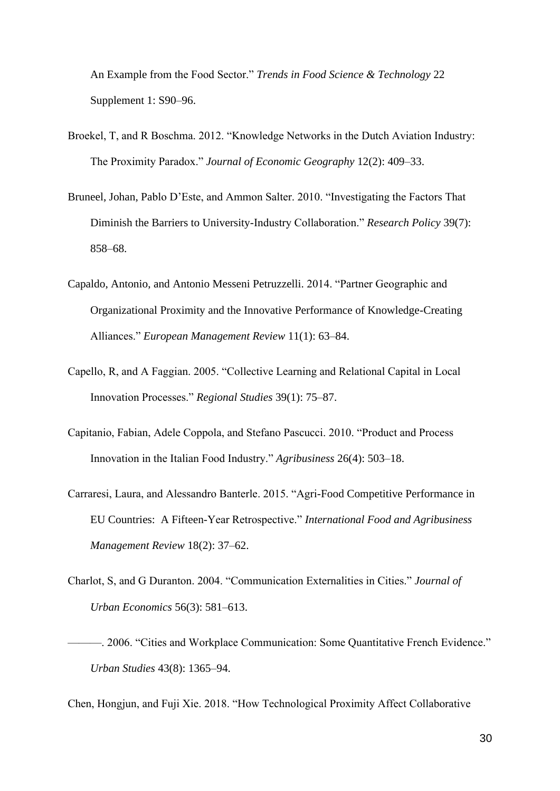An Example from the Food Sector." *Trends in Food Science & Technology* 22 Supplement 1: S90–96.

- Broekel, T, and R Boschma. 2012. "Knowledge Networks in the Dutch Aviation Industry: The Proximity Paradox." *Journal of Economic Geography* 12(2): 409–33.
- Bruneel, Johan, Pablo D'Este, and Ammon Salter. 2010. "Investigating the Factors That Diminish the Barriers to University-Industry Collaboration." *Research Policy* 39(7): 858–68.
- Capaldo, Antonio, and Antonio Messeni Petruzzelli. 2014. "Partner Geographic and Organizational Proximity and the Innovative Performance of Knowledge-Creating Alliances." *European Management Review* 11(1): 63–84.
- Capello, R, and A Faggian. 2005. "Collective Learning and Relational Capital in Local Innovation Processes." *Regional Studies* 39(1): 75–87.
- Capitanio, Fabian, Adele Coppola, and Stefano Pascucci. 2010. "Product and Process Innovation in the Italian Food Industry." *Agribusiness* 26(4): 503–18.
- Carraresi, Laura, and Alessandro Banterle. 2015. "Agri-Food Competitive Performance in EU Countries: A Fifteen-Year Retrospective." *International Food and Agribusiness Management Review* 18(2): 37–62.
- Charlot, S, and G Duranton. 2004. "Communication Externalities in Cities." *Journal of Urban Economics* 56(3): 581–613.
- ———. 2006. "Cities and Workplace Communication: Some Quantitative French Evidence." *Urban Studies* 43(8): 1365–94.

Chen, Hongjun, and Fuji Xie. 2018. "How Technological Proximity Affect Collaborative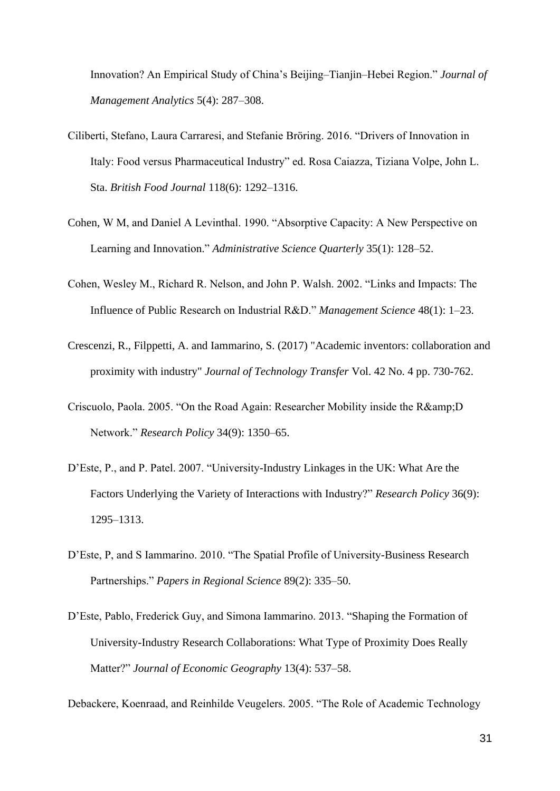Innovation? An Empirical Study of China's Beijing–Tianjin–Hebei Region." *Journal of Management Analytics* 5(4): 287–308.

- Ciliberti, Stefano, Laura Carraresi, and Stefanie Bröring. 2016. "Drivers of Innovation in Italy: Food versus Pharmaceutical Industry" ed. Rosa Caiazza, Tiziana Volpe, John L. Sta. *British Food Journal* 118(6): 1292–1316.
- Cohen, W M, and Daniel A Levinthal. 1990. "Absorptive Capacity: A New Perspective on Learning and Innovation." *Administrative Science Quarterly* 35(1): 128–52.
- Cohen, Wesley M., Richard R. Nelson, and John P. Walsh. 2002. "Links and Impacts: The Influence of Public Research on Industrial R&D." *Management Science* 48(1): 1–23.
- Crescenzi, R., Filppetti, A. and Iammarino, S. (2017) "Academic inventors: collaboration and proximity with industry" *Journal of Technology Transfer* Vol. 42 No. 4 pp. 730-762.
- Criscuolo, Paola. 2005. "On the Road Again: Researcher Mobility inside the R&D Network." *Research Policy* 34(9): 1350–65.
- D'Este, P., and P. Patel. 2007. "University-Industry Linkages in the UK: What Are the Factors Underlying the Variety of Interactions with Industry?" *Research Policy* 36(9): 1295–1313.
- D'Este, P, and S Iammarino. 2010. "The Spatial Profile of University-Business Research Partnerships." *Papers in Regional Science* 89(2): 335–50.
- D'Este, Pablo, Frederick Guy, and Simona Iammarino. 2013. "Shaping the Formation of University-Industry Research Collaborations: What Type of Proximity Does Really Matter?" *Journal of Economic Geography* 13(4): 537–58.

Debackere, Koenraad, and Reinhilde Veugelers. 2005. "The Role of Academic Technology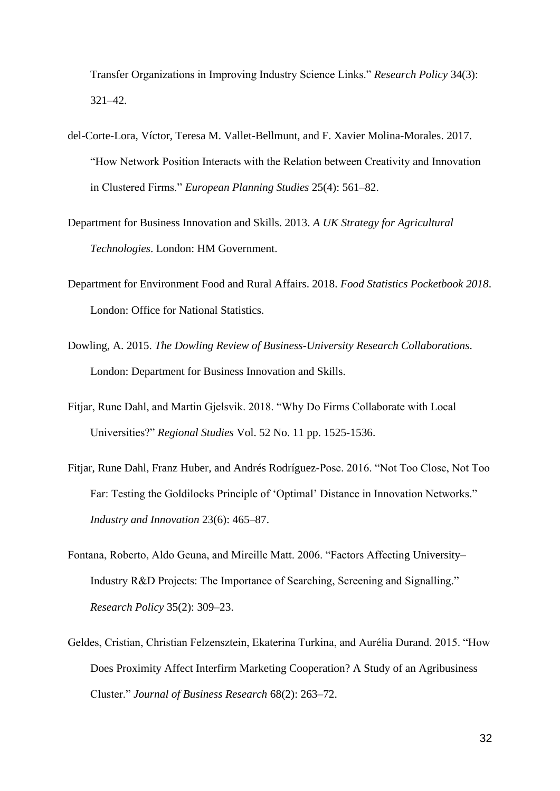Transfer Organizations in Improving Industry Science Links." *Research Policy* 34(3): 321–42.

- del-Corte-Lora, Víctor, Teresa M. Vallet-Bellmunt, and F. Xavier Molina-Morales. 2017. "How Network Position Interacts with the Relation between Creativity and Innovation in Clustered Firms." *European Planning Studies* 25(4): 561–82.
- Department for Business Innovation and Skills. 2013. *A UK Strategy for Agricultural Technologies*. London: HM Government.
- Department for Environment Food and Rural Affairs. 2018. *Food Statistics Pocketbook 2018*. London: Office for National Statistics.
- Dowling, A. 2015. *The Dowling Review of Business-University Research Collaborations*. London: Department for Business Innovation and Skills.
- Fitjar, Rune Dahl, and Martin Gjelsvik. 2018. "Why Do Firms Collaborate with Local Universities?" *Regional Studies* Vol. 52 No. 11 pp. 1525-1536.
- Fitjar, Rune Dahl, Franz Huber, and Andrés Rodríguez-Pose. 2016. "Not Too Close, Not Too Far: Testing the Goldilocks Principle of 'Optimal' Distance in Innovation Networks." *Industry and Innovation* 23(6): 465–87.
- Fontana, Roberto, Aldo Geuna, and Mireille Matt. 2006. "Factors Affecting University– Industry R&D Projects: The Importance of Searching, Screening and Signalling." *Research Policy* 35(2): 309–23.
- Geldes, Cristian, Christian Felzensztein, Ekaterina Turkina, and Aurélia Durand. 2015. "How Does Proximity Affect Interfirm Marketing Cooperation? A Study of an Agribusiness Cluster." *Journal of Business Research* 68(2): 263–72.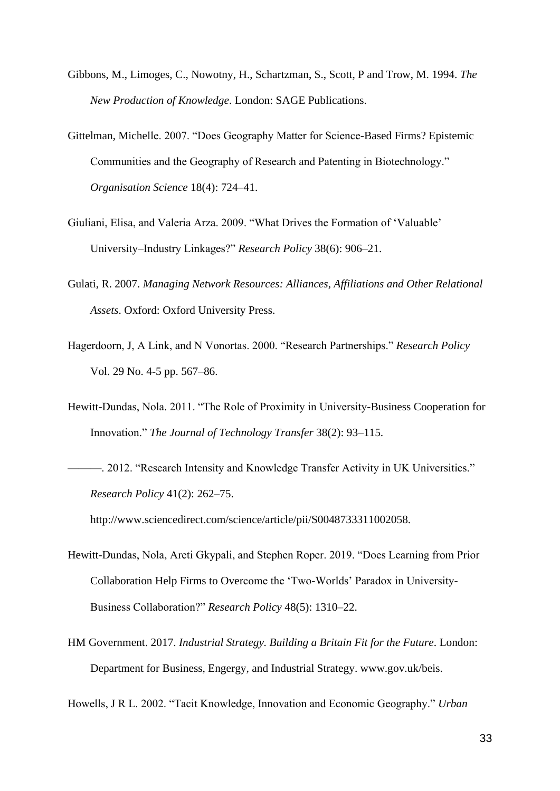- Gibbons, M., Limoges, C., Nowotny, H., Schartzman, S., Scott, P and Trow, M. 1994. *The New Production of Knowledge*. London: SAGE Publications.
- Gittelman, Michelle. 2007. "Does Geography Matter for Science-Based Firms? Epistemic Communities and the Geography of Research and Patenting in Biotechnology." *Organisation Science* 18(4): 724–41.
- Giuliani, Elisa, and Valeria Arza. 2009. "What Drives the Formation of 'Valuable' University–Industry Linkages?" *Research Policy* 38(6): 906–21.
- Gulati, R. 2007. *Managing Network Resources: Alliances, Affiliations and Other Relational Assets*. Oxford: Oxford University Press.
- Hagerdoorn, J, A Link, and N Vonortas. 2000. "Research Partnerships." *Research Policy* Vol. 29 No. 4-5 pp. 567–86.
- Hewitt-Dundas, Nola. 2011. "The Role of Proximity in University-Business Cooperation for Innovation." *The Journal of Technology Transfer* 38(2): 93–115.
- ———. 2012. "Research Intensity and Knowledge Transfer Activity in UK Universities." *Research Policy* 41(2): 262–75.

http://www.sciencedirect.com/science/article/pii/S0048733311002058.

- Hewitt-Dundas, Nola, Areti Gkypali, and Stephen Roper. 2019. "Does Learning from Prior Collaboration Help Firms to Overcome the 'Two-Worlds' Paradox in University-Business Collaboration?" *Research Policy* 48(5): 1310–22.
- HM Government. 2017. *Industrial Strategy. Building a Britain Fit for the Future*. London: Department for Business, Engergy, and Industrial Strategy. www.gov.uk/beis.

Howells, J R L. 2002. "Tacit Knowledge, Innovation and Economic Geography." *Urban*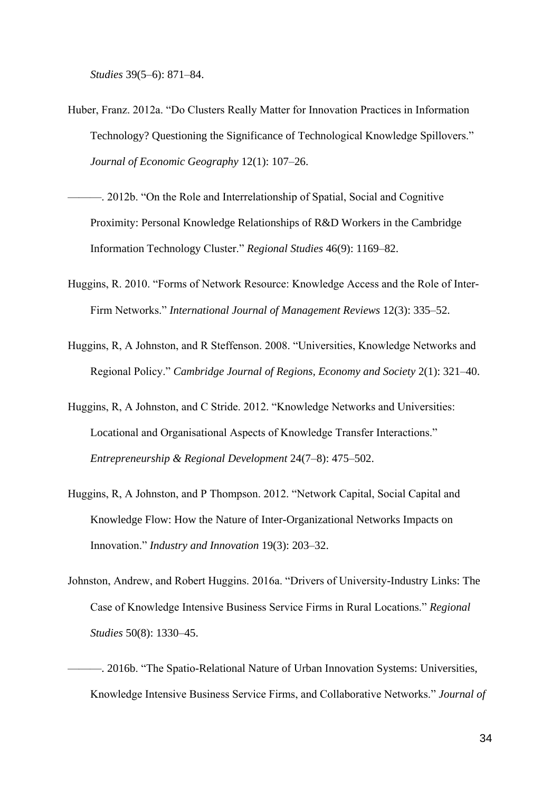*Studies* 39(5–6): 871–84.

- Huber, Franz. 2012a. "Do Clusters Really Matter for Innovation Practices in Information Technology? Questioning the Significance of Technological Knowledge Spillovers." *Journal of Economic Geography* 12(1): 107–26.
- ———. 2012b. "On the Role and Interrelationship of Spatial, Social and Cognitive Proximity: Personal Knowledge Relationships of R&D Workers in the Cambridge Information Technology Cluster." *Regional Studies* 46(9): 1169–82.
- Huggins, R. 2010. "Forms of Network Resource: Knowledge Access and the Role of Inter-Firm Networks." *International Journal of Management Reviews* 12(3): 335–52.
- Huggins, R, A Johnston, and R Steffenson. 2008. "Universities, Knowledge Networks and Regional Policy." *Cambridge Journal of Regions, Economy and Society* 2(1): 321–40.
- Huggins, R, A Johnston, and C Stride. 2012. "Knowledge Networks and Universities: Locational and Organisational Aspects of Knowledge Transfer Interactions." *Entrepreneurship & Regional Development* 24(7–8): 475–502.
- Huggins, R, A Johnston, and P Thompson. 2012. "Network Capital, Social Capital and Knowledge Flow: How the Nature of Inter-Organizational Networks Impacts on Innovation." *Industry and Innovation* 19(3): 203–32.
- Johnston, Andrew, and Robert Huggins. 2016a. "Drivers of University-Industry Links: The Case of Knowledge Intensive Business Service Firms in Rural Locations." *Regional Studies* 50(8): 1330–45.
- ———. 2016b. "The Spatio-Relational Nature of Urban Innovation Systems: Universities, Knowledge Intensive Business Service Firms, and Collaborative Networks." *Journal of*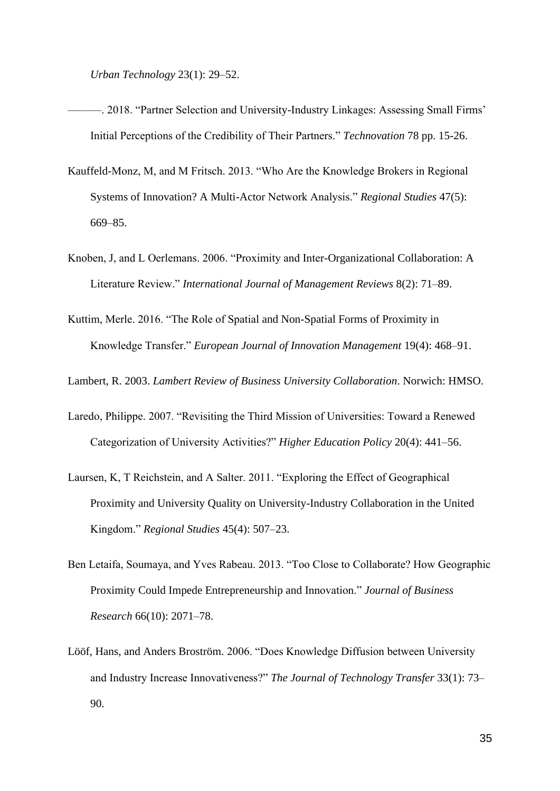*Urban Technology* 23(1): 29–52.

- —–. 2018. "Partner Selection and University-Industry Linkages: Assessing Small Firms' Initial Perceptions of the Credibility of Their Partners." *Technovation* 78 pp. 15-26.
- Kauffeld-Monz, M, and M Fritsch. 2013. "Who Are the Knowledge Brokers in Regional Systems of Innovation? A Multi-Actor Network Analysis." *Regional Studies* 47(5): 669–85.
- Knoben, J, and L Oerlemans. 2006. "Proximity and Inter-Organizational Collaboration: A Literature Review." *International Journal of Management Reviews* 8(2): 71–89.
- Kuttim, Merle. 2016. "The Role of Spatial and Non-Spatial Forms of Proximity in Knowledge Transfer." *European Journal of Innovation Management* 19(4): 468–91.

Lambert, R. 2003. *Lambert Review of Business University Collaboration*. Norwich: HMSO.

- Laredo, Philippe. 2007. "Revisiting the Third Mission of Universities: Toward a Renewed Categorization of University Activities?" *Higher Education Policy* 20(4): 441–56.
- Laursen, K, T Reichstein, and A Salter. 2011. "Exploring the Effect of Geographical Proximity and University Quality on University-Industry Collaboration in the United Kingdom." *Regional Studies* 45(4): 507–23.
- Ben Letaifa, Soumaya, and Yves Rabeau. 2013. "Too Close to Collaborate? How Geographic Proximity Could Impede Entrepreneurship and Innovation." *Journal of Business Research* 66(10): 2071–78.
- Lööf, Hans, and Anders Broström. 2006. "Does Knowledge Diffusion between University and Industry Increase Innovativeness?" *The Journal of Technology Transfer* 33(1): 73– 90.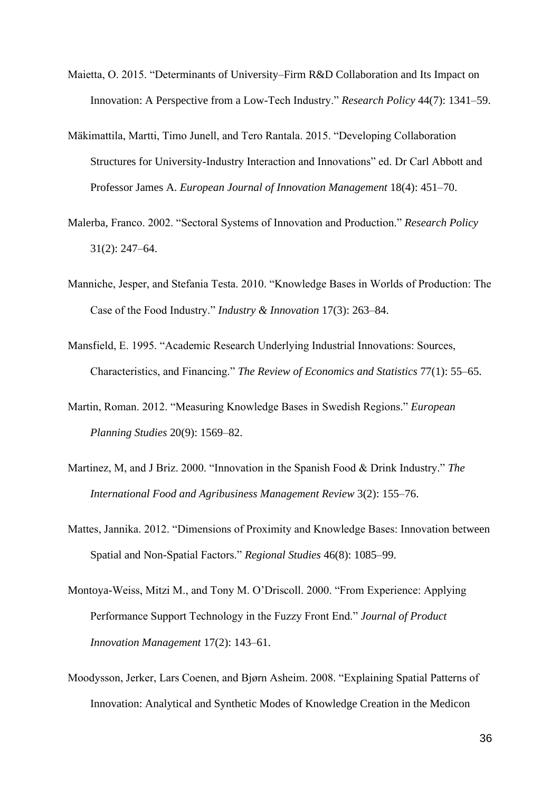- Maietta, O. 2015. "Determinants of University–Firm R&D Collaboration and Its Impact on Innovation: A Perspective from a Low-Tech Industry." *Research Policy* 44(7): 1341–59.
- Mäkimattila, Martti, Timo Junell, and Tero Rantala. 2015. "Developing Collaboration Structures for University-Industry Interaction and Innovations" ed. Dr Carl Abbott and Professor James A. *European Journal of Innovation Management* 18(4): 451–70.
- Malerba, Franco. 2002. "Sectoral Systems of Innovation and Production." *Research Policy* 31(2): 247–64.
- Manniche, Jesper, and Stefania Testa. 2010. "Knowledge Bases in Worlds of Production: The Case of the Food Industry." *Industry & Innovation* 17(3): 263–84.
- Mansfield, E. 1995. "Academic Research Underlying Industrial Innovations: Sources, Characteristics, and Financing." *The Review of Economics and Statistics* 77(1): 55–65.
- Martin, Roman. 2012. "Measuring Knowledge Bases in Swedish Regions." *European Planning Studies* 20(9): 1569–82.
- Martinez, M, and J Briz. 2000. "Innovation in the Spanish Food & Drink Industry." *The International Food and Agribusiness Management Review* 3(2): 155–76.
- Mattes, Jannika. 2012. "Dimensions of Proximity and Knowledge Bases: Innovation between Spatial and Non-Spatial Factors." *Regional Studies* 46(8): 1085–99.
- Montoya-Weiss, Mitzi M., and Tony M. O'Driscoll. 2000. "From Experience: Applying Performance Support Technology in the Fuzzy Front End." *Journal of Product Innovation Management* 17(2): 143–61.
- Moodysson, Jerker, Lars Coenen, and Bjørn Asheim. 2008. "Explaining Spatial Patterns of Innovation: Analytical and Synthetic Modes of Knowledge Creation in the Medicon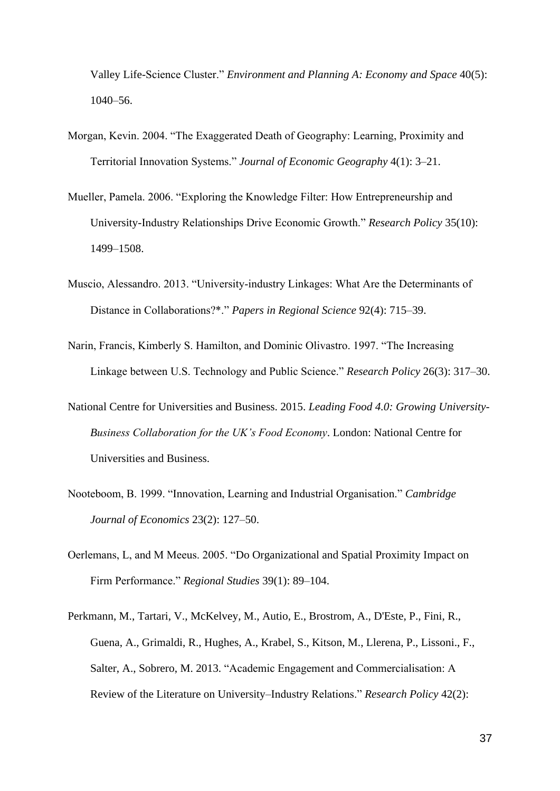Valley Life-Science Cluster." *Environment and Planning A: Economy and Space* 40(5): 1040–56.

- Morgan, Kevin. 2004. "The Exaggerated Death of Geography: Learning, Proximity and Territorial Innovation Systems." *Journal of Economic Geography* 4(1): 3–21.
- Mueller, Pamela. 2006. "Exploring the Knowledge Filter: How Entrepreneurship and University-Industry Relationships Drive Economic Growth." *Research Policy* 35(10): 1499–1508.
- Muscio, Alessandro. 2013. "University‐industry Linkages: What Are the Determinants of Distance in Collaborations?\*." *Papers in Regional Science* 92(4): 715–39.
- Narin, Francis, Kimberly S. Hamilton, and Dominic Olivastro. 1997. "The Increasing Linkage between U.S. Technology and Public Science." *Research Policy* 26(3): 317–30.
- National Centre for Universities and Business. 2015. *Leading Food 4.0: Growing University-Business Collaboration for the UK's Food Economy*. London: National Centre for Universities and Business.
- Nooteboom, B. 1999. "Innovation, Learning and Industrial Organisation." *Cambridge Journal of Economics* 23(2): 127–50.
- Oerlemans, L, and M Meeus. 2005. "Do Organizational and Spatial Proximity Impact on Firm Performance." *Regional Studies* 39(1): 89–104.
- Perkmann, M., Tartari, V., McKelvey, M., Autio, E., Brostrom, A., D'Este, P., Fini, R., Guena, A., Grimaldi, R., Hughes, A., Krabel, S., Kitson, M., Llerena, P., Lissoni., F., Salter, A., Sobrero, M. 2013. "Academic Engagement and Commercialisation: A Review of the Literature on University–Industry Relations." *Research Policy* 42(2):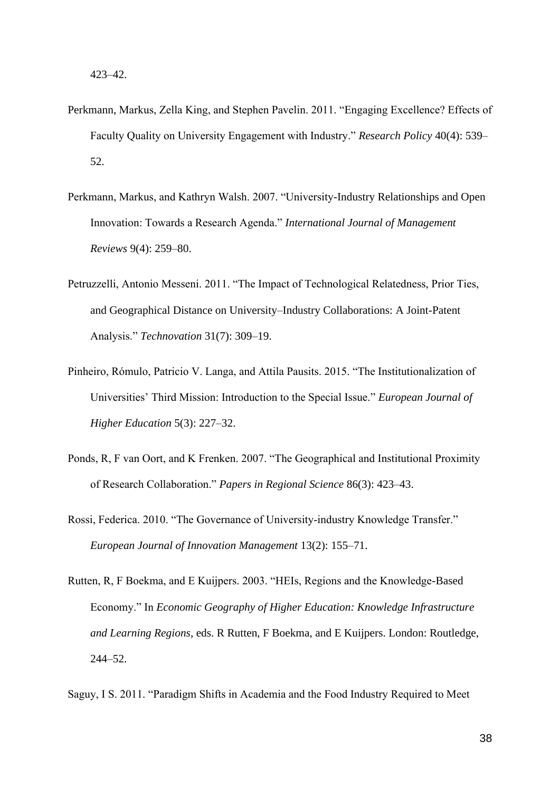- Perkmann, Markus, Zella King, and Stephen Pavelin. 2011. "Engaging Excellence? Effects of Faculty Quality on University Engagement with Industry." *Research Policy* 40(4): 539– 52.
- Perkmann, Markus, and Kathryn Walsh. 2007. "University-Industry Relationships and Open Innovation: Towards a Research Agenda." *International Journal of Management Reviews* 9(4): 259–80.
- Petruzzelli, Antonio Messeni. 2011. "The Impact of Technological Relatedness, Prior Ties, and Geographical Distance on University–Industry Collaborations: A Joint-Patent Analysis." *Technovation* 31(7): 309–19.
- Pinheiro, Rómulo, Patricio V. Langa, and Attila Pausits. 2015. "The Institutionalization of Universities' Third Mission: Introduction to the Special Issue." *European Journal of Higher Education* 5(3): 227–32.
- Ponds, R, F van Oort, and K Frenken. 2007. "The Geographical and Institutional Proximity of Research Collaboration." *Papers in Regional Science* 86(3): 423–43.
- Rossi, Federica. 2010. "The Governance of University‐industry Knowledge Transfer." *European Journal of Innovation Management* 13(2): 155–71.
- Rutten, R, F Boekma, and E Kuijpers. 2003. "HEIs, Regions and the Knowledge-Based Economy." In *Economic Geography of Higher Education: Knowledge Infrastructure and Learning Regions*, eds. R Rutten, F Boekma, and E Kuijpers. London: Routledge, 244–52.
- Saguy, I S. 2011. "Paradigm Shifts in Academia and the Food Industry Required to Meet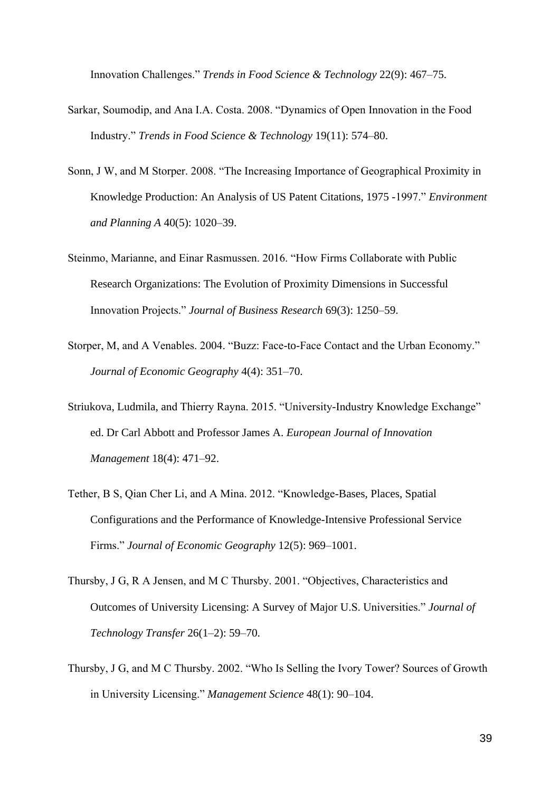Innovation Challenges." *Trends in Food Science & Technology* 22(9): 467–75.

- Sarkar, Soumodip, and Ana I.A. Costa. 2008. "Dynamics of Open Innovation in the Food Industry." *Trends in Food Science & Technology* 19(11): 574–80.
- Sonn, J W, and M Storper. 2008. "The Increasing Importance of Geographical Proximity in Knowledge Production: An Analysis of US Patent Citations, 1975 -1997." *Environment and Planning A* 40(5): 1020–39.
- Steinmo, Marianne, and Einar Rasmussen. 2016. "How Firms Collaborate with Public Research Organizations: The Evolution of Proximity Dimensions in Successful Innovation Projects." *Journal of Business Research* 69(3): 1250–59.
- Storper, M, and A Venables. 2004. "Buzz: Face-to-Face Contact and the Urban Economy." *Journal of Economic Geography* 4(4): 351–70.
- Striukova, Ludmila, and Thierry Rayna. 2015. "University-Industry Knowledge Exchange" ed. Dr Carl Abbott and Professor James A. *European Journal of Innovation Management* 18(4): 471–92.
- Tether, B S, Qian Cher Li, and A Mina. 2012. "Knowledge-Bases, Places, Spatial Configurations and the Performance of Knowledge-Intensive Professional Service Firms." *Journal of Economic Geography* 12(5): 969–1001.
- Thursby, J G, R A Jensen, and M C Thursby. 2001. "Objectives, Characteristics and Outcomes of University Licensing: A Survey of Major U.S. Universities." *Journal of Technology Transfer* 26(1–2): 59–70.
- Thursby, J G, and M C Thursby. 2002. "Who Is Selling the Ivory Tower? Sources of Growth in University Licensing." *Management Science* 48(1): 90–104.